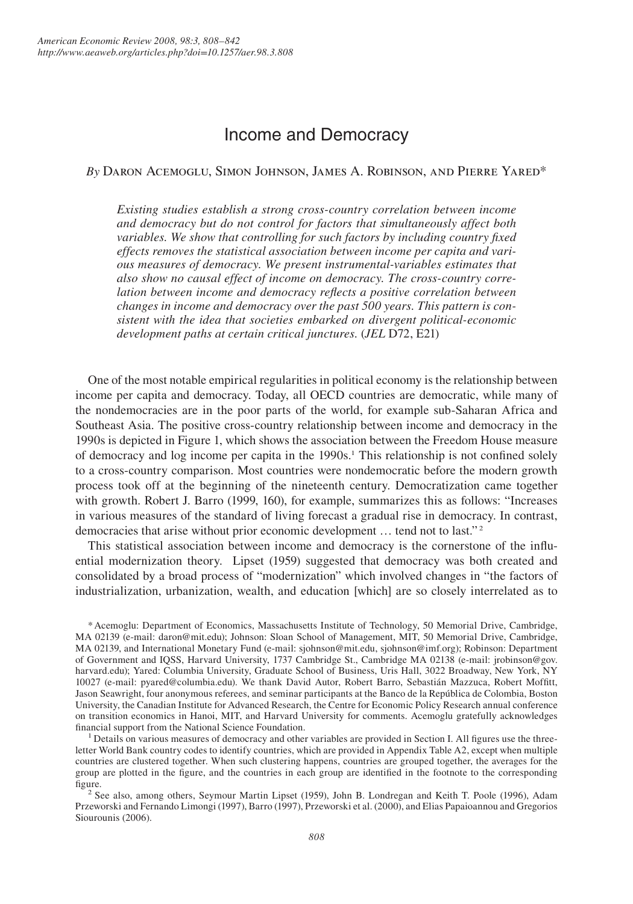# Income and Democracy

## *By* Daron Acemoglu, Simon Johnson, James A. Robinson, and Pierre Yared\*

*Existing studies establish a strong cross-country correlation between income and democracy but do not control for factors that simultaneously affect both variables. We show that controlling for such factors by including country fixed effects removes the statistical association between income per capita and various measures of democracy. We present instrumental-variables estimates that also show no causal effect of income on democracy. The cross-country correlation between income and democracy reflects a positive correlation between changes in income and democracy over the past 500 years. This pattern is consistent with the idea that societies embarked on divergent political-economic development paths at certain critical junctures.* (*JEL* D72, E21)

One of the most notable empirical regularities in political economy is the relationship between income per capita and democracy. Today, all OECD countries are democratic, while many of the nondemocracies are in the poor parts of the world, for example sub-Saharan Africa and Southeast Asia. The positive cross-country relationship between income and democracy in the 1990s is depicted in Figure 1, which shows the association between the Freedom House measure of democracy and log income per capita in the 1990s.<sup>1</sup> This relationship is not confined solely to a cross-country comparison. Most countries were nondemocratic before the modern growth process took off at the beginning of the nineteenth century. Democratization came together with growth. Robert J. Barro (1999, 160), for example, summarizes this as follows: "Increases in various measures of the standard of living forecast a gradual rise in democracy. In contrast, democracies that arise without prior economic development … tend not to last."

This statistical association between income and democracy is the cornerstone of the influential modernization theory. Lipset (1959) suggested that democracy was both created and consolidated by a broad process of "modernization" which involved changes in "the factors of industrialization, urbanization, wealth, and education [which] are so closely interrelated as to

\*Acemoglu: Department of Economics, Massachusetts Institute of Technology, 50 Memorial Drive, Cambridge, MA 02139 (e-mail: daron@mit.edu); Johnson: Sloan School of Management, MIT, 50 Memorial Drive, Cambridge, MA 02139, and International Monetary Fund (e-mail: sjohnson@mit.edu, sjohnson@imf.org); Robinson: Department of Government and IQSS, Harvard University, 1737 Cambridge St., Cambridge MA 02138 (e-mail: jrobinson@gov. harvard.edu); Yared: Columbia University, Graduate School of Business, Uris Hall, 3022 Broadway, New York, NY 10027 (e-mail: pyared@columbia.edu). We thank David Autor, Robert Barro, Sebastián Mazzuca, Robert Moffitt, Jason Seawright, four anonymous referees, and seminar participants at the Banco de la República de Colombia, Boston University, the Canadian Institute for Advanced Research, the Centre for Economic Policy Research annual conference on transition economics in Hanoi, MIT, and Harvard University for comments. Acemoglu gratefully acknowledges financial support from the National Science Foundation.

<sup>1</sup> Details on various measures of democracy and other variables are provided in Section I. All figures use the threeletter World Bank country codes to identify countries, which are provided in Appendix Table A2, except when multiple countries are clustered together. When such clustering happens, countries are grouped together, the averages for the group are plotted in the figure, and the countries in each group are identified in the footnote to the corresponding figure.<br><sup>2</sup> See also, among others, Seymour Martin Lipset (1959), John B. Londregan and Keith T. Poole (1996), Adam

Przeworski and Fernando Limongi (1997), Barro (1997), Przeworski et al. (2000), and Elias Papaioannou and Gregorios Siourounis (2006).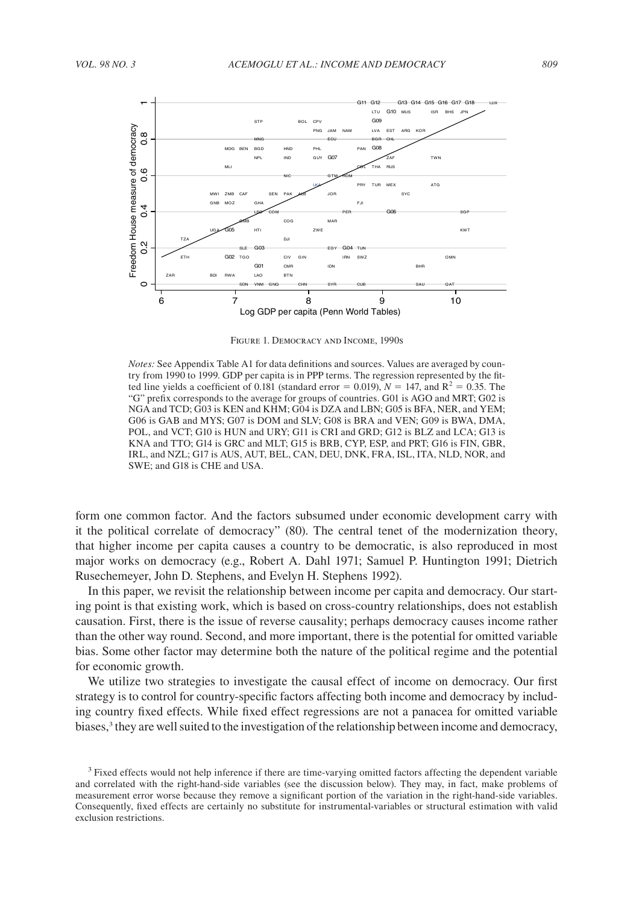

Figure 1. Democracy and Income, 1990s

*Notes:* See Appendix Table A1 for data definitions and sources. Values are averaged by country from 1990 to 1999. GDP per capita is in PPP terms. The regression represented by the fitted line yields a coefficient of 0.181 (standard error = 0.019),  $N = 147$ , and  $R^2 = 0.35$ . The "G" prefix corresponds to the average for groups of countries. G01 is AGO and MRT; G02 is NGA and TCD; G03 is KEN and KHM; G04 is DZA and LBN; G05 is BFA, NER, and YEM; G06 is GAB and MYS; G07 is DOM and SLV; G08 is BRA and VEN; G09 is BWA, DMA, POL, and VCT; G10 is HUN and URY; G11 is CRI and GRD; G12 is BLZ and LCA; G13 is KNA and TTO; G14 is GRC and MLT; G15 is BRB, CYP, ESP, and PRT; G16 is FIN, GBR, IRL, and NZL; G17 is AUS, AUT, BEL, CAN, DEU, DNK, FRA, ISL, ITA, NLD, NOR, and SWE; and G18 is CHE and USA.

form one common factor. And the factors subsumed under economic development carry with it the political correlate of democracy" (80). The central tenet of the modernization theory, that higher income per capita causes a country to be democratic, is also reproduced in most major works on democracy (e.g., Robert A. Dahl 1971; Samuel P. Huntington 1991; Dietrich Rusechemeyer, John D. Stephens, and Evelyn H. Stephens 1992).

In this paper, we revisit the relationship between income per capita and democracy. Our starting point is that existing work, which is based on cross-country relationships, does not establish causation. First, there is the issue of reverse causality; perhaps democracy causes income rather than the other way round. Second, and more important, there is the potential for omitted variable bias. Some other factor may determine both the nature of the political regime and the potential for economic growth.

We utilize two strategies to investigate the causal effect of income on democracy. Our first strategy is to control for country-specific factors affecting both income and democracy by including country fixed effects. While fixed effect regressions are not a panacea for omitted variable biases,<sup>3</sup> they are well suited to the investigation of the relationship between income and democracy,

<sup>&</sup>lt;sup>3</sup> Fixed effects would not help inference if there are time-varying omitted factors affecting the dependent variable and correlated with the right-hand-side variables (see the discussion below). They may, in fact, make problems of measurement error worse because they remove a significant portion of the variation in the right-hand-side variables. Consequently, fixed effects are certainly no substitute for instrumental-variables or structural estimation with valid exclusion restrictions.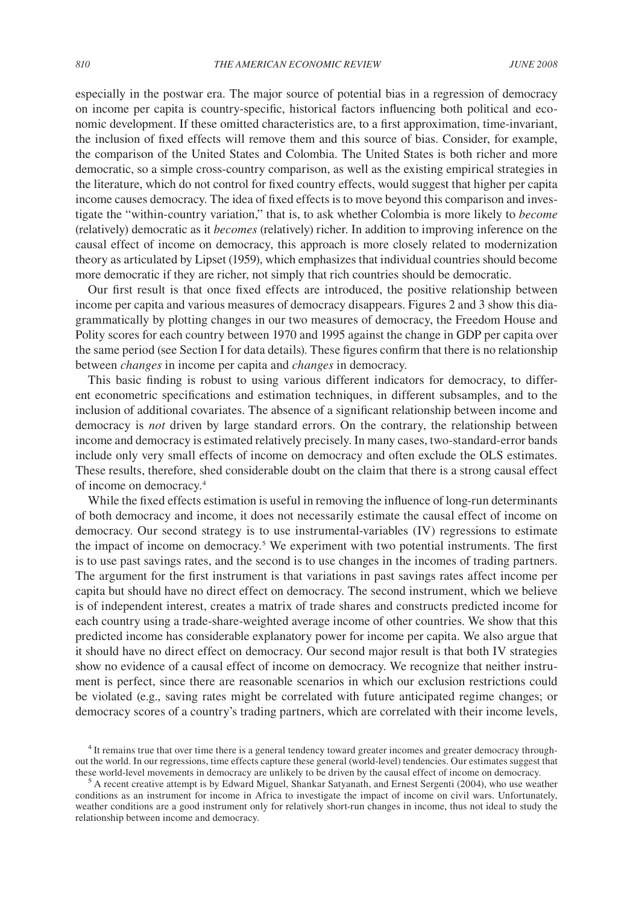especially in the postwar era. The major source of potential bias in a regression of democracy on income per capita is country-specific, historical factors influencing both political and economic development. If these omitted characteristics are, to a first approximation, time-invariant, the inclusion of fixed effects will remove them and this source of bias. Consider, for example, the comparison of the United States and Colombia. The United States is both richer and more democratic, so a simple cross-country comparison, as well as the existing empirical strategies in the literature, which do not control for fixed country effects, would suggest that higher per capita income causes democracy. The idea of fixed effects is to move beyond this comparison and investigate the "within-country variation," that is, to ask whether Colombia is more likely to *become* (relatively) democratic as it *becomes* (relatively) richer. In addition to improving inference on the causal effect of income on democracy, this approach is more closely related to modernization theory as articulated by Lipset (1959), which emphasizes that individual countries should become more democratic if they are richer, not simply that rich countries should be democratic.

Our first result is that once fixed effects are introduced, the positive relationship between income per capita and various measures of democracy disappears. Figures 2 and 3 show this diagrammatically by plotting changes in our two measures of democracy, the Freedom House and Polity scores for each country between 1970 and 1995 against the change in GDP per capita over the same period (see Section I for data details). These figures confirm that there is no relationship between *changes* in income per capita and *changes* in democracy.

This basic finding is robust to using various different indicators for democracy, to different econometric specifications and estimation techniques, in different subsamples, and to the inclusion of additional covariates. The absence of a significant relationship between income and democracy is *not* driven by large standard errors. On the contrary, the relationship between income and democracy is estimated relatively precisely. In many cases, two-standard-error bands include only very small effects of income on democracy and often exclude the OLS estimates. These results, therefore, shed considerable doubt on the claim that there is a strong causal effect of income on democracy.

While the fixed effects estimation is useful in removing the influence of long-run determinants of both democracy and income, it does not necessarily estimate the causal effect of income on democracy. Our second strategy is to use instrumental-variables (IV) regressions to estimate the impact of income on democracy.<sup>5</sup> We experiment with two potential instruments. The first is to use past savings rates, and the second is to use changes in the incomes of trading partners. The argument for the first instrument is that variations in past savings rates affect income per capita but should have no direct effect on democracy. The second instrument, which we believe is of independent interest, creates a matrix of trade shares and constructs predicted income for each country using a trade-share-weighted average income of other countries. We show that this predicted income has considerable explanatory power for income per capita. We also argue that it should have no direct effect on democracy. Our second major result is that both IV strategies show no evidence of a causal effect of income on democracy. We recognize that neither instrument is perfect, since there are reasonable scenarios in which our exclusion restrictions could be violated (e.g., saving rates might be correlated with future anticipated regime changes; or democracy scores of a country's trading partners, which are correlated with their income levels,

<sup>&</sup>lt;sup>4</sup> It remains true that over time there is a general tendency toward greater incomes and greater democracy throughout the world. In our regressions, time effects capture these general (world-level) tendencies. Our estimates suggest that these world-level movements in democracy are unlikely to be driven by the causal effect of income on democracy.

<sup>&</sup>lt;sup>5</sup> A recent creative attempt is by Edward Miguel, Shankar Satyanath, and Ernest Sergenti (2004), who use weather conditions as an instrument for income in Africa to investigate the impact of income on civil wars. Unfortunately, weather conditions are a good instrument only for relatively short-run changes in income, thus not ideal to study the relationship between income and democracy.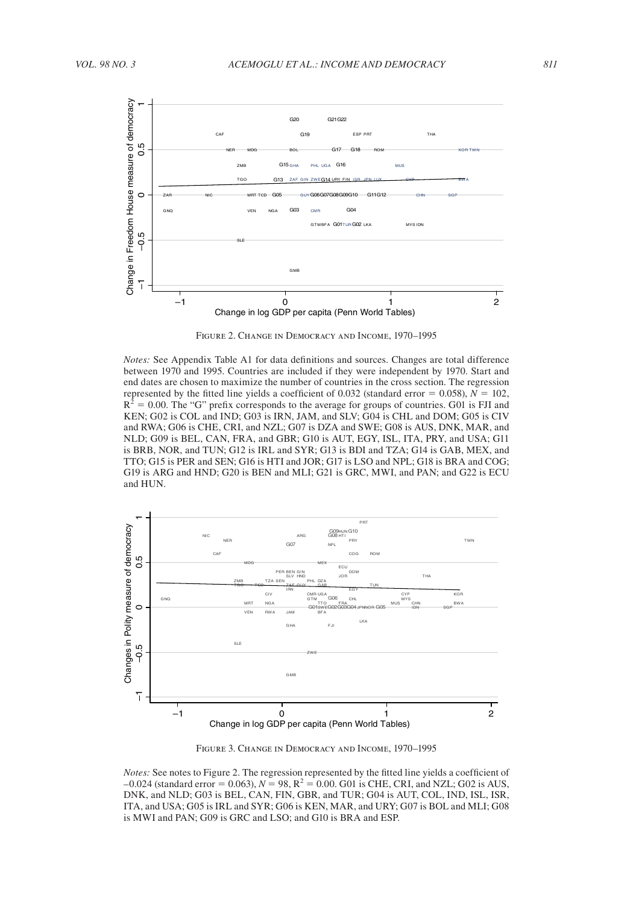

Figure 2. Change in Democracy and Income, 1970–1995

*Notes:* See Appendix Table A1 for data definitions and sources. Changes are total difference between 1970 and 1995. Countries are included if they were independent by 1970. Start and end dates are chosen to maximize the number of countries in the cross section. The regression represented by the fitted line yields a coefficient of 0.032 (standard error =  $0.058$ ),  $N = 102$ ,  $R^2 = 0.00$ . The "G" prefix corresponds to the average for groups of countries. G01 is FJI and KEN; G02 is COL and IND; G03 is IRN, JAM, and SLV; G04 is CHL and DOM; G05 is CIV and RWA; G06 is CHE, CRI, and NZL; G07 is DZA and SWE; G08 is AUS, DNK, MAR, and NLD; G09 is BEL, CAN, FRA, and GBR; G10 is AUT, EGY, ISL, ITA, PRY, and USA; G11 is BRB, NOR, and TUN; G12 is IRL and SYR; G13 is BDI and TZA; G14 is GAB, MEX, and TTO; G15 is PER and SEN; G16 is HTI and JOR; G17 is LSO and NPL; G18 is BRA and COG; G19 is ARG and HND; G20 is BEN and MLI; G21 is GRC, MWI, and PAN; and G22 is ECU and HUN.



Figure 3. Change in Democracy and Income, 1970–1995

*Notes:* See notes to Figure 2. The regression represented by the fitted line yields a coefficient of  $-0.024$  (standard error = 0.063),  $N = 98$ ,  $R^2 = 0.00$ . G01 is CHE, CRI, and NZL; G02 is AUS, DNK, and NLD; G03 is BEL, CAN, FIN, GBR, and TUR; G04 is AUT, COL, IND, ISL, ISR, ITA, and USA; G05 is IRL and SYR; G06 is KEN, MAR, and URY; G07 is BOL and MLI; G08 is MWI and PAN; G09 is GRC and LSO; and G10 is BRA and ESP.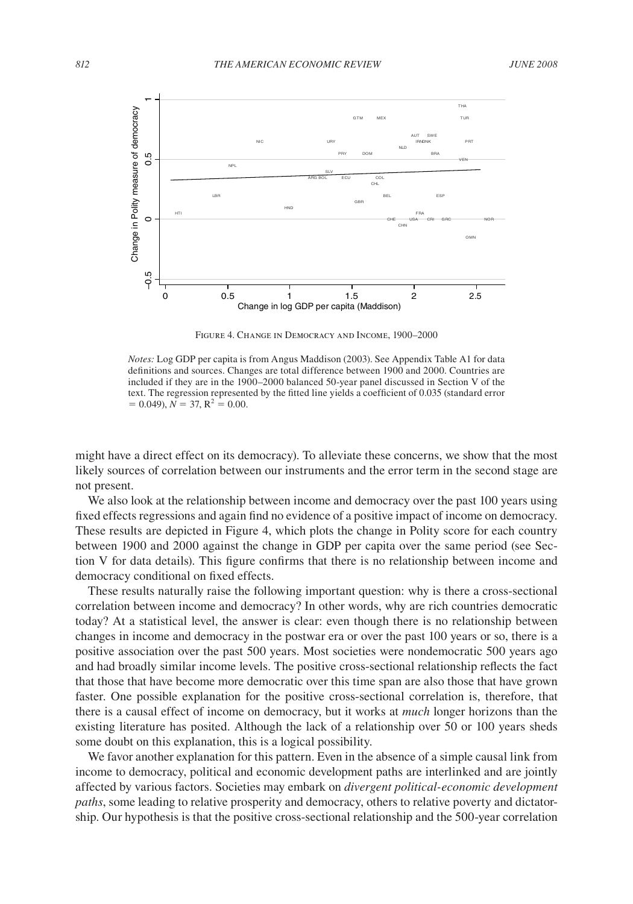

Figure 4. Change in Democracy and Income, 1900–2000

*Notes:* Log GDP per capita is from Angus Maddison (2003). See Appendix Table A1 for data definitions and sources. Changes are total difference between 1900 and 2000. Countries are included if they are in the 1900–2000 balanced 50-year panel discussed in Section V of the text. The regression represented by the fitted line yields a coefficient of 0.035 (standard error  $= 0.049$ ,  $N = 37$ ,  $R^2 = 0.00$ .

might have a direct effect on its democracy). To alleviate these concerns, we show that the most likely sources of correlation between our instruments and the error term in the second stage are not present.

We also look at the relationship between income and democracy over the past 100 years using fixed effects regressions and again find no evidence of a positive impact of income on democracy. These results are depicted in Figure 4, which plots the change in Polity score for each country between 1900 and 2000 against the change in GDP per capita over the same period (see Section V for data details). This figure confirms that there is no relationship between income and democracy conditional on fixed effects.

These results naturally raise the following important question: why is there a cross-sectional correlation between income and democracy? In other words, why are rich countries democratic today? At a statistical level, the answer is clear: even though there is no relationship between changes in income and democracy in the postwar era or over the past 100 years or so, there is a positive association over the past 500 years. Most societies were nondemocratic 500 years ago and had broadly similar income levels. The positive cross-sectional relationship reflects the fact that those that have become more democratic over this time span are also those that have grown faster. One possible explanation for the positive cross-sectional correlation is, therefore, that there is a causal effect of income on democracy, but it works at *much* longer horizons than the existing literature has posited. Although the lack of a relationship over 50 or 100 years sheds some doubt on this explanation, this is a logical possibility.

We favor another explanation for this pattern. Even in the absence of a simple causal link from income to democracy, political and economic development paths are interlinked and are jointly affected by various factors. Societies may embark on *divergent political-economic development paths*, some leading to relative prosperity and democracy, others to relative poverty and dictatorship. Our hypothesis is that the positive cross-sectional relationship and the 500-year correlation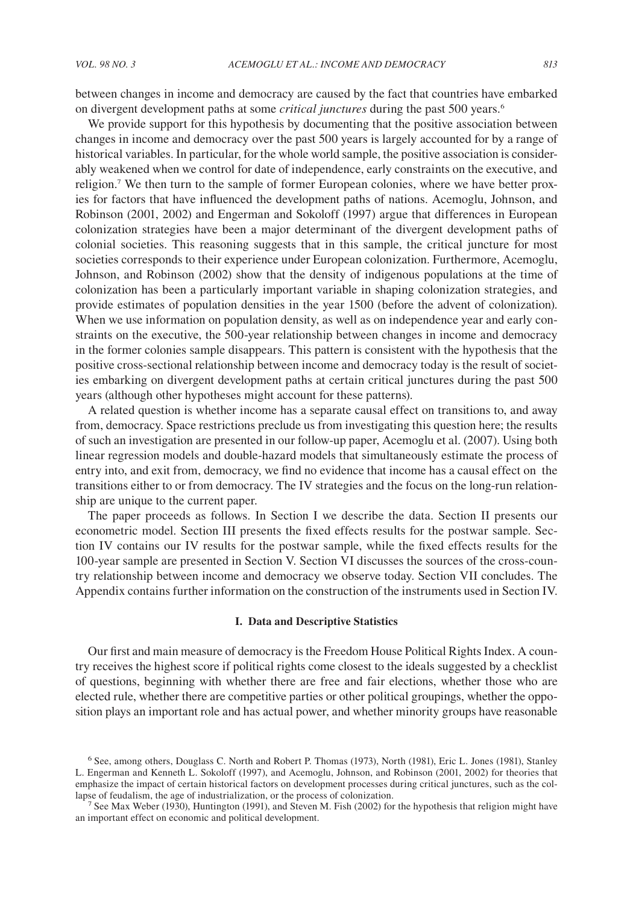between changes in income and democracy are caused by the fact that countries have embarked on divergent development paths at some *critical junctures* during the past 500 years.

We provide support for this hypothesis by documenting that the positive association between changes in income and democracy over the past 500 years is largely accounted for by a range of historical variables. In particular, for the whole world sample, the positive association is considerably weakened when we control for date of independence, early constraints on the executive, and religion.<sup>7</sup> We then turn to the sample of former European colonies, where we have better proxies for factors that have influenced the development paths of nations. Acemoglu, Johnson, and Robinson (2001, 2002) and Engerman and Sokoloff (1997) argue that differences in European colonization strategies have been a major determinant of the divergent development paths of colonial societies. This reasoning suggests that in this sample, the critical juncture for most societies corresponds to their experience under European colonization. Furthermore, Acemoglu, Johnson, and Robinson (2002) show that the density of indigenous populations at the time of colonization has been a particularly important variable in shaping colonization strategies, and provide estimates of population densities in the year 1500 (before the advent of colonization). When we use information on population density, as well as on independence year and early constraints on the executive, the 500-year relationship between changes in income and democracy in the former colonies sample disappears. This pattern is consistent with the hypothesis that the positive cross-sectional relationship between income and democracy today is the result of societies embarking on divergent development paths at certain critical junctures during the past 500 years (although other hypotheses might account for these patterns).

A related question is whether income has a separate causal effect on transitions to, and away from, democracy. Space restrictions preclude us from investigating this question here; the results of such an investigation are presented in our follow-up paper, Acemoglu et al. (2007). Using both linear regression models and double-hazard models that simultaneously estimate the process of entry into, and exit from, democracy, we find no evidence that income has a causal effect on the transitions either to or from democracy. The IV strategies and the focus on the long-run relationship are unique to the current paper.

The paper proceeds as follows. In Section I we describe the data. Section II presents our econometric model. Section III presents the fixed effects results for the postwar sample. Section IV contains our IV results for the postwar sample, while the fixed effects results for the 100-year sample are presented in Section V. Section VI discusses the sources of the cross-country relationship between income and democracy we observe today. Section VII concludes. The Appendix contains further information on the construction of the instruments used in Section IV.

#### **I. Data and Descriptive Statistics**

Our first and main measure of democracy is the Freedom House Political Rights Index. A country receives the highest score if political rights come closest to the ideals suggested by a checklist of questions, beginning with whether there are free and fair elections, whether those who are elected rule, whether there are competitive parties or other political groupings, whether the opposition plays an important role and has actual power, and whether minority groups have reasonable

<sup>&</sup>lt;sup>6</sup> See, among others, Douglass C. North and Robert P. Thomas (1973), North (1981), Eric L. Jones (1981), Stanley L. Engerman and Kenneth L. Sokoloff (1997), and Acemoglu, Johnson, and Robinson (2001, 2002) for theories that emphasize the impact of certain historical factors on development processes during critical junctures, such as the collapse of feudalism, the age of industrialization, or the process of colonization.

<sup>&</sup>lt;sup>7</sup> See Max Weber (1930), Huntington (1991), and Steven M. Fish (2002) for the hypothesis that religion might have an important effect on economic and political development.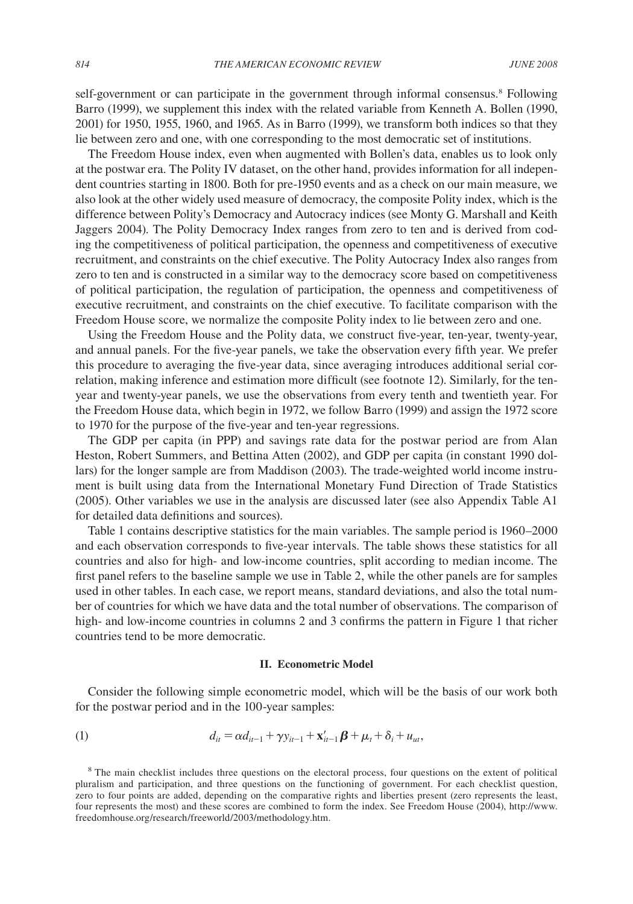self-government or can participate in the government through informal consensus.<sup>8</sup> Following Barro (1999), we supplement this index with the related variable from Kenneth A. Bollen (1990, 2001) for 1950, 1955, 1960, and 1965. As in Barro (1999), we transform both indices so that they lie between zero and one, with one corresponding to the most democratic set of institutions.

The Freedom House index, even when augmented with Bollen's data, enables us to look only at the postwar era. The Polity IV dataset, on the other hand, provides information for all independent countries starting in 1800. Both for pre-1950 events and as a check on our main measure, we also look at the other widely used measure of democracy, the composite Polity index, which is the difference between Polity's Democracy and Autocracy indices (see Monty G. Marshall and Keith Jaggers 2004). The Polity Democracy Index ranges from zero to ten and is derived from coding the competitiveness of political participation, the openness and competitiveness of executive recruitment, and constraints on the chief executive. The Polity Autocracy Index also ranges from zero to ten and is constructed in a similar way to the democracy score based on competitiveness of political participation, the regulation of participation, the openness and competitiveness of executive recruitment, and constraints on the chief executive. To facilitate comparison with the Freedom House score, we normalize the composite Polity index to lie between zero and one.

Using the Freedom House and the Polity data, we construct five-year, ten-year, twenty-year, and annual panels. For the five-year panels, we take the observation every fifth year. We prefer this procedure to averaging the five-year data, since averaging introduces additional serial correlation, making inference and estimation more difficult (see footnote 12). Similarly, for the tenyear and twenty-year panels, we use the observations from every tenth and twentieth year. For the Freedom House data, which begin in 1972, we follow Barro (1999) and assign the 1972 score to 1970 for the purpose of the five-year and ten-year regressions.

The GDP per capita (in PPP) and savings rate data for the postwar period are from Alan Heston, Robert Summers, and Bettina Atten (2002), and GDP per capita (in constant 1990 dollars) for the longer sample are from Maddison (2003). The trade-weighted world income instrument is built using data from the International Monetary Fund Direction of Trade Statistics (2005). Other variables we use in the analysis are discussed later (see also Appendix Table A1 for detailed data definitions and sources).

Table 1 contains descriptive statistics for the main variables. The sample period is 1960–2000 and each observation corresponds to five-year intervals. The table shows these statistics for all countries and also for high- and low-income countries, split according to median income. The first panel refers to the baseline sample we use in Table 2, while the other panels are for samples used in other tables. In each case, we report means, standard deviations, and also the total number of countries for which we have data and the total number of observations. The comparison of high- and low-income countries in columns 2 and 3 confirms the pattern in Figure 1 that richer countries tend to be more democratic.

#### **II. Econometric Model**

Consider the following simple econometric model, which will be the basis of our work both for the postwar period and in the 100-year samples:

(1) 
$$
d_{it} = \alpha d_{it-1} + \gamma y_{it-1} + \mathbf{x}_{it-1}' \boldsymbol{\beta} + \mu_t + \delta_i + u_{ut},
$$

<sup>8</sup> The main checklist includes three questions on the electoral process, four questions on the extent of political pluralism and participation, and three questions on the functioning of government. For each checklist question, zero to four points are added, depending on the comparative rights and liberties present (zero represents the least, four represents the most) and these scores are combined to form the index. See Freedom House (2004), http://www. freedomhouse.org/research/freeworld/2003/methodology.htm.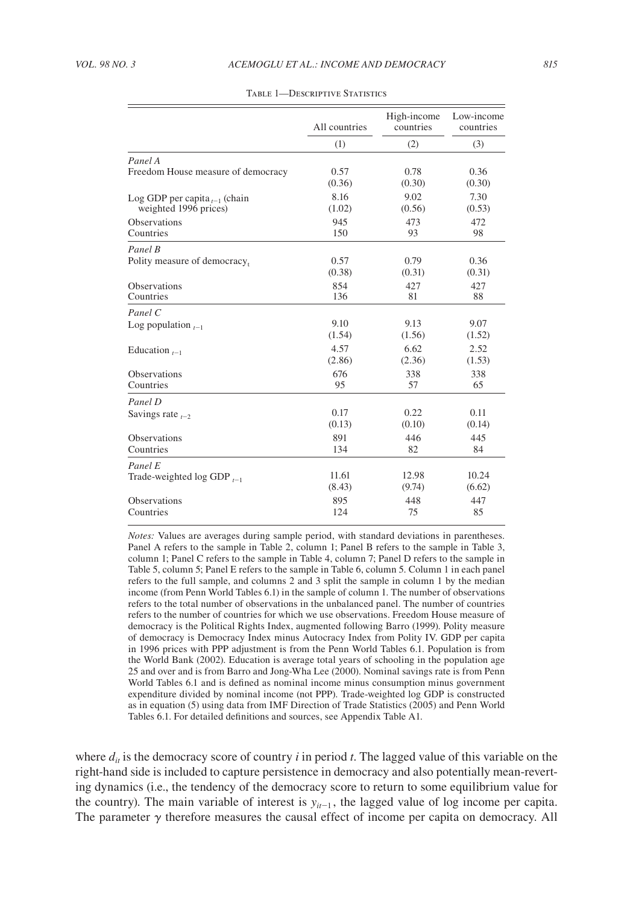|                                                             | All countries   | High-income<br>countries | Low-income<br>countries |
|-------------------------------------------------------------|-----------------|--------------------------|-------------------------|
|                                                             | (1)             | (2)                      | (3)                     |
| Panel A                                                     |                 |                          |                         |
| Freedom House measure of democracy                          | 0.57<br>(0.36)  | 0.78<br>(0.30)           | 0.36<br>(0.30)          |
| Log GDP per capita $_{t=1}$ (chain<br>weighted 1996 prices) | 8.16<br>(1.02)  | 9.02<br>(0.56)           | 7.30<br>(0.53)          |
| Observations                                                | 945             | 473                      | 472                     |
| Countries                                                   | 150             | 93                       | 98                      |
| Panel B                                                     |                 |                          |                         |
| Polity measure of democracy,                                | 0.57<br>(0.38)  | 0.79<br>(0.31)           | 0.36<br>(0.31)          |
| <b>Observations</b><br>Countries                            | 854<br>136      | 427<br>81                | 427<br>88               |
| Panel C                                                     |                 |                          |                         |
| Log population $_{t-1}$                                     | 9.10<br>(1.54)  | 9.13<br>(1.56)           | 9.07<br>(1.52)          |
| Education $_{t=1}$                                          | 4.57<br>(2.86)  | 6.62<br>(2.36)           | 2.52<br>(1.53)          |
| Observations                                                | 676             | 338                      | 338                     |
| Countries                                                   | 95              | 57                       | 65                      |
| Panel D                                                     |                 |                          |                         |
| Savings rate $_{t=2}$                                       | 0.17<br>(0.13)  | 0.22<br>(0.10)           | 0.11<br>(0.14)          |
| <b>Observations</b>                                         | 891             | 446                      | 445                     |
| Countries                                                   | 134             | 82                       | 84                      |
| Panel E                                                     |                 |                          |                         |
| Trade-weighted log GDP $_{t=1}$                             | 11.61<br>(8.43) | 12.98<br>(9.74)          | 10.24<br>(6.62)         |
| Observations                                                | 895             | 448                      | 447                     |
| Countries                                                   | 124             | 75                       | 85                      |

Table 1—Descriptive Statistics

*Notes:* Values are averages during sample period, with standard deviations in parentheses. Panel A refers to the sample in Table 2, column 1; Panel B refers to the sample in Table 3, column 1; Panel C refers to the sample in Table 4, column 7; Panel D refers to the sample in Table 5, column 5; Panel E refers to the sample in Table 6, column 5. Column 1 in each panel refers to the full sample, and columns 2 and 3 split the sample in column 1 by the median income (from Penn World Tables 6.1) in the sample of column 1. The number of observations refers to the total number of observations in the unbalanced panel. The number of countries refers to the number of countries for which we use observations. Freedom House measure of democracy is the Political Rights Index, augmented following Barro (1999). Polity measure of democracy is Democracy Index minus Autocracy Index from Polity IV. GDP per capita in 1996 prices with PPP adjustment is from the Penn World Tables 6.1. Population is from the World Bank (2002). Education is average total years of schooling in the population age 25 and over and is from Barro and Jong-Wha Lee (2000). Nominal savings rate is from Penn World Tables 6.1 and is defined as nominal income minus consumption minus government expenditure divided by nominal income (not PPP). Trade-weighted log GDP is constructed as in equation (5) using data from IMF Direction of Trade Statistics (2005) and Penn World Tables 6.1. For detailed definitions and sources, see Appendix Table A1.

where  $d_{ii}$  is the democracy score of country *i* in period *t*. The lagged value of this variable on the right-hand side is included to capture persistence in democracy and also potentially mean-reverting dynamics (i.e., the tendency of the democracy score to return to some equilibrium value for the country). The main variable of interest is  $y_{it-1}$ , the lagged value of log income per capita. The parameter  $\gamma$  therefore measures the causal effect of income per capita on democracy. All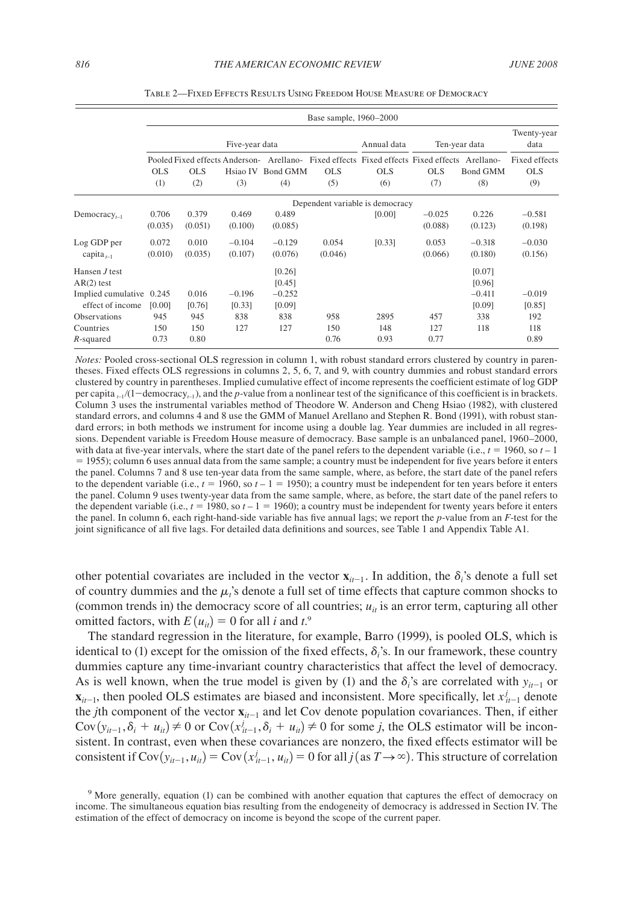|                                       |                   | Base sample, 1960–2000 |                 |                        |                                                                                                                   |                                 |                   |                        |                                    |
|---------------------------------------|-------------------|------------------------|-----------------|------------------------|-------------------------------------------------------------------------------------------------------------------|---------------------------------|-------------------|------------------------|------------------------------------|
|                                       | Five-year data    |                        |                 |                        |                                                                                                                   | Annual data                     | Ten-year data     |                        | Twenty-year<br>data                |
|                                       | <b>OLS</b><br>(1) | <b>OLS</b><br>(2)      | Hsiao IV<br>(3) | <b>Bond GMM</b><br>(4) | Pooled Fixed effects Anderson- Arellano- Fixed effects Fixed effects Fixed effects Arellano-<br><b>OLS</b><br>(5) | <b>OLS</b><br>(6)               | <b>OLS</b><br>(7) | <b>Bond GMM</b><br>(8) | Fixed effects<br><b>OLS</b><br>(9) |
|                                       |                   |                        |                 |                        |                                                                                                                   | Dependent variable is democracy |                   |                        |                                    |
| Democracy <sub><math>t-1</math></sub> | 0.706             | 0.379                  | 0.469           | 0.489                  |                                                                                                                   | [0.00]                          | $-0.025$          | 0.226                  | $-0.581$                           |
|                                       | (0.035)           | (0.051)                | (0.100)         | (0.085)                |                                                                                                                   |                                 | (0.088)           | (0.123)                | (0.198)                            |
| Log GDP per                           | 0.072             | 0.010                  | $-0.104$        | $-0.129$               | 0.054                                                                                                             | [0.33]                          | 0.053             | $-0.318$               | $-0.030$                           |
| capita <sub><math>-1</math></sub>     | (0.010)           | (0.035)                | (0.107)         | (0.076)                | (0.046)                                                                                                           |                                 | (0.066)           | (0.180)                | (0.156)                            |
| Hansen <i>J</i> test                  |                   |                        |                 | [0.26]                 |                                                                                                                   |                                 |                   | [0.07]                 |                                    |
| $AR(2)$ test                          |                   |                        |                 | [0.45]                 |                                                                                                                   |                                 |                   | [0.96]                 |                                    |
| Implied cumulative                    | 0.245             | 0.016                  | $-0.196$        | $-0.252$               |                                                                                                                   |                                 |                   | $-0.411$               | $-0.019$                           |
| effect of income                      | [0.00]            | [0.76]                 | [0.33]          | [0.09]                 |                                                                                                                   |                                 |                   | [0.09]                 | [0.85]                             |
| <b>Observations</b>                   | 945               | 945                    | 838             | 838                    | 958                                                                                                               | 2895                            | 457               | 338                    | 192                                |
| Countries                             | 150               | 150                    | 127             | 127                    | 150                                                                                                               | 148                             | 127               | 118                    | 118                                |
| R-squared                             | 0.73              | 0.80                   |                 |                        | 0.76                                                                                                              | 0.93                            | 0.77              |                        | 0.89                               |

Table 2—Fixed Effects Results Using Freedom House Measure of Democracy

*Notes:* Pooled cross-sectional OLS regression in column 1, with robust standard errors clustered by country in parentheses. Fixed effects OLS regressions in columns 2, 5, 6, 7, and 9, with country dummies and robust standard errors clustered by country in parentheses. Implied cumulative effect of income represents the coefficient estimate of log GDP per capita  $_{t-1}/(1-\text{democracy}_{t-1})$ , and the *p*-value from a nonlinear test of the significance of this coefficient is in brackets. Column 3 uses the instrumental variables method of Theodore W. Anderson and Cheng Hsiao (1982), with clustered standard errors, and columns 4 and 8 use the GMM of Manuel Arellano and Stephen R. Bond (1991), with robust standard errors; in both methods we instrument for income using a double lag. Year dummies are included in all regressions. Dependent variable is Freedom House measure of democracy. Base sample is an unbalanced panel, 1960–2000, with data at five-year intervals, where the start date of the panel refers to the dependent variable (i.e.,  $t = 1960$ , so  $t - 1$ )  $= 1955$ ; column 6 uses annual data from the same sample; a country must be independent for five years before it enters the panel. Columns 7 and 8 use ten-year data from the same sample, where, as before, the start date of the panel refers to the dependent variable (i.e.,  $t = 1960$ , so  $t - 1 = 1950$ ); a country must be independent for ten years before it enters the panel. Column 9 uses twenty-year data from the same sample, where, as before, the start date of the panel refers to the dependent variable (i.e.,  $t = 1980$ , so  $t - 1 = 1960$ ); a country must be independent for twenty years before it enters the panel. In column 6, each right-hand-side variable has five annual lags; we report the *p*-value from an *F*-test for the joint significance of all five lags. For detailed data definitions and sources, see Table 1 and Appendix Table A1.

other potential covariates are included in the vector  $\mathbf{x}_{it-1}$ . In addition, the  $\delta_i$ 's denote a full set of country dummies and the  $\mu$ <sup>2</sup> denote a full set of time effects that capture common shocks to (common trends in) the democracy score of all countries;  $u_{it}$  is an error term, capturing all other omitted factors, with  $E(u_{it}) = 0$  for all *i* and  $t$ <sup>9</sup>

The standard regression in the literature, for example, Barro (1999), is pooled OLS, which is identical to (1) except for the omission of the fixed effects,  $\delta_i$ 's. In our framework, these country dummies capture any time-invariant country characteristics that affect the level of democracy. As is well known, when the true model is given by (1) and the  $\delta_i$ 's are correlated with  $y_{i-1}$  or  $\mathbf{x}_{it-1}$ , then pooled OLS estimates are biased and inconsistent. More specifically, let  $x_{it-1}^j$  denote the *j*th component of the vector  $\mathbf{x}_{it-1}$  and let Cov denote population covariances. Then, if either  $Cov(y_{ii-1}, \delta_i + u_{ii}) \neq 0$  or  $Cov(x_{ii-1}^j, \delta_i + u_{ii}) \neq 0$  for some *j*, the OLS estimator will be inconsistent. In contrast, even when these covariances are nonzero, the fixed effects estimator will be consistent if  $Cov(y_{it-1}, u_{it}) = Cov(x_{it-1}^j, u_{it}) = 0$  for all *j* (as  $T \rightarrow \infty$ ). This structure of correlation

<sup>&</sup>lt;sup>9</sup> More generally, equation (1) can be combined with another equation that captures the effect of democracy on income. The simultaneous equation bias resulting from the endogeneity of democracy is addressed in Section IV. The estimation of the effect of democracy on income is beyond the scope of the current paper.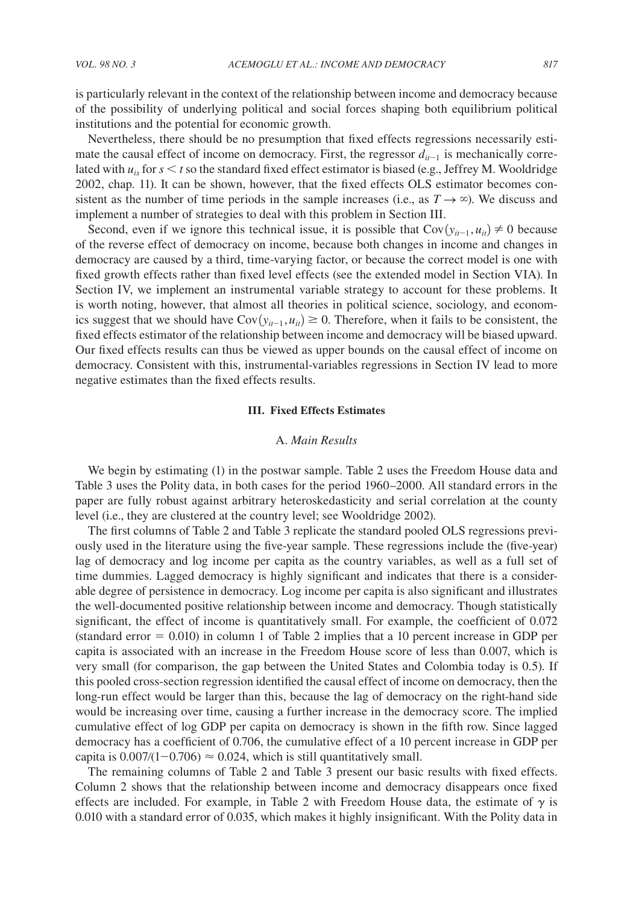is particularly relevant in the context of the relationship between income and democracy because of the possibility of underlying political and social forces shaping both equilibrium political institutions and the potential for economic growth.

Nevertheless, there should be no presumption that fixed effects regressions necessarily estimate the causal effect of income on democracy. First, the regressor  $d_{it-1}$  is mechanically correlated with  $u_{i}$  for  $s < t$  so the standard fixed effect estimator is biased (e.g., Jeffrey M. Wooldridge 2002, chap. 11). It can be shown, however, that the fixed effects OLS estimator becomes consistent as the number of time periods in the sample increases (i.e., as  $T \to \infty$ ). We discuss and implement a number of strategies to deal with this problem in Section III.

Second, even if we ignore this technical issue, it is possible that  $Cov(y_{ii-1}, u_{ii}) \neq 0$  because of the reverse effect of democracy on income, because both changes in income and changes in democracy are caused by a third, time-varying factor, or because the correct model is one with fixed growth effects rather than fixed level effects (see the extended model in Section VIA). In Section IV, we implement an instrumental variable strategy to account for these problems. It is worth noting, however, that almost all theories in political science, sociology, and economics suggest that we should have  $Cov(y_{it-1}, u_{it}) \ge 0$ . Therefore, when it fails to be consistent, the fixed effects estimator of the relationship between income and democracy will be biased upward. Our fixed effects results can thus be viewed as upper bounds on the causal effect of income on democracy. Consistent with this, instrumental-variables regressions in Section IV lead to more negative estimates than the fixed effects results.

## **III. Fixed Effects Estimates**

## A. *Main Results*

We begin by estimating (1) in the postwar sample. Table 2 uses the Freedom House data and Table 3 uses the Polity data, in both cases for the period 1960–2000. All standard errors in the paper are fully robust against arbitrary heteroskedasticity and serial correlation at the county level (i.e., they are clustered at the country level; see Wooldridge 2002).

The first columns of Table 2 and Table 3 replicate the standard pooled OLS regressions previously used in the literature using the five-year sample. These regressions include the (five-year) lag of democracy and log income per capita as the country variables, as well as a full set of time dummies. Lagged democracy is highly significant and indicates that there is a considerable degree of persistence in democracy. Log income per capita is also significant and illustrates the well-documented positive relationship between income and democracy. Though statistically significant, the effect of income is quantitatively small. For example, the coefficient of 0.072 (standard error  $= 0.010$ ) in column 1 of Table 2 implies that a 10 percent increase in GDP per capita is associated with an increase in the Freedom House score of less than 0.007, which is very small (for comparison, the gap between the United States and Colombia today is 0.5). If this pooled cross-section regression identified the causal effect of income on democracy, then the long-run effect would be larger than this, because the lag of democracy on the right-hand side would be increasing over time, causing a further increase in the democracy score. The implied cumulative effect of log GDP per capita on democracy is shown in the fifth row. Since lagged democracy has a coefficient of 0.706, the cumulative effect of a 10 percent increase in GDP per capita is  $0.007/(1-0.706) \approx 0.024$ , which is still quantitatively small.

The remaining columns of Table 2 and Table 3 present our basic results with fixed effects. Column 2 shows that the relationship between income and democracy disappears once fixed effects are included. For example, in Table 2 with Freedom House data, the estimate of  $\gamma$  is 0.010 with a standard error of 0.035, which makes it highly insignificant. With the Polity data in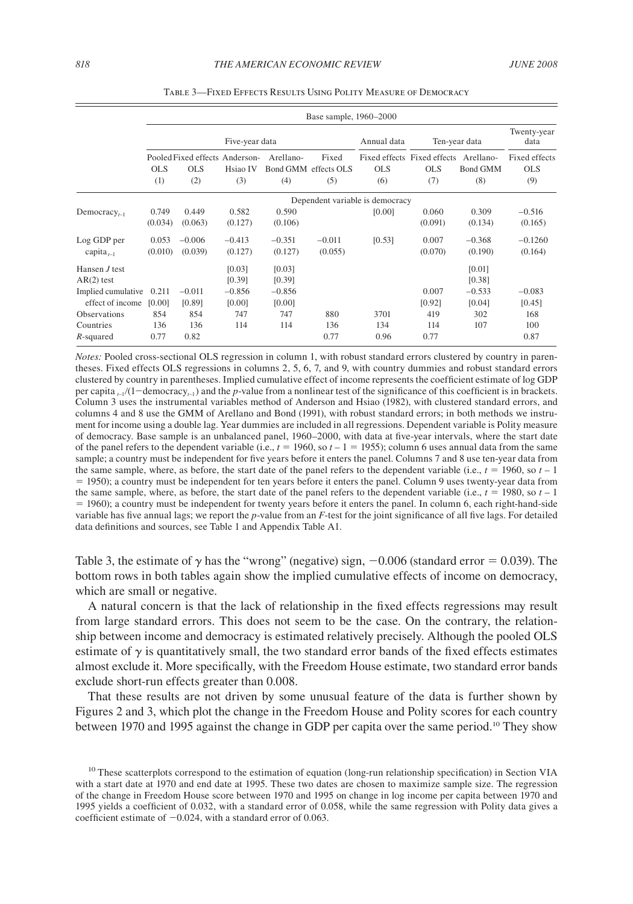|                                    |                   |                   |                                                   |                                          | Base sample, 1960-2000 |                                                            |                   |                        |                                    |
|------------------------------------|-------------------|-------------------|---------------------------------------------------|------------------------------------------|------------------------|------------------------------------------------------------|-------------------|------------------------|------------------------------------|
|                                    |                   |                   | Five-year data                                    |                                          |                        | Annual data                                                | Ten-year data     |                        | Twenty-year<br>data                |
|                                    | <b>OLS</b><br>(1) | <b>OLS</b><br>(2) | Pooled Fixed effects Anderson-<br>Hsiao IV<br>(3) | Arellano-<br>Bond GMM effects OLS<br>(4) | Fixed<br>(5)           | Fixed effects Fixed effects Arellano-<br><b>OLS</b><br>(6) | <b>OLS</b><br>(7) | <b>Bond GMM</b><br>(8) | Fixed effects<br><b>OLS</b><br>(9) |
|                                    |                   |                   |                                                   |                                          |                        | Dependent variable is democracy                            |                   |                        |                                    |
| $Democracy_{t-1}$                  | 0.749             | 0.449             | 0.582                                             | 0.590                                    |                        | [0.00]                                                     | 0.060             | 0.309                  | $-0.516$                           |
|                                    | (0.034)           | (0.063)           | (0.127)                                           | (0.106)                                  |                        |                                                            | (0.091)           | (0.134)                | (0.165)                            |
| Log GDP per                        | 0.053             | $-0.006$          | $-0.413$                                          | $-0.351$                                 | $-0.011$               | [0.53]                                                     | 0.007             | $-0.368$               | $-0.1260$                          |
| capita <sub><math>t-1</math></sub> | (0.010)           | (0.039)           | (0.127)                                           | (0.127)                                  | (0.055)                |                                                            | (0.070)           | (0.190)                | (0.164)                            |
| Hansen $J$ test                    |                   |                   | [0.03]                                            | [0.03]                                   |                        |                                                            |                   | [0.01]                 |                                    |
| $AR(2)$ test                       |                   |                   | [0.39]                                            | [0.39]                                   |                        |                                                            |                   | [0.38]                 |                                    |
| Implied cumulative                 | 0.211             | $-0.011$          | $-0.856$                                          | $-0.856$                                 |                        |                                                            | 0.007             | $-0.533$               | $-0.083$                           |
| effect of income                   | [0.00]            | [0.89]            | [0.00]                                            | [0.00]                                   |                        |                                                            | [0.92]            | [0.04]                 | [0.45]                             |
| <b>Observations</b>                | 854               | 854               | 747                                               | 747                                      | 880                    | 3701                                                       | 419               | 302                    | 168                                |
| Countries                          | 136               | 136               | 114                                               | 114                                      | 136                    | 134                                                        | 114               | 107                    | 100                                |
| R-squared                          | 0.77              | 0.82              |                                                   |                                          | 0.77                   | 0.96                                                       | 0.77              |                        | 0.87                               |

Table 3—Fixed Effects Results Using Polity Measure of Democracy

*Notes:* Pooled cross-sectional OLS regression in column 1, with robust standard errors clustered by country in parentheses. Fixed effects OLS regressions in columns 2, 5, 6, 7, and 9, with country dummies and robust standard errors clustered by country in parentheses. Implied cumulative effect of income represents the coefficient estimate of log GDP per capita  $\mu_1/(1-\text{demoracy}_{t-1})$  and the *p*-value from a nonlinear test of the significance of this coefficient is in brackets. Column 3 uses the instrumental variables method of Anderson and Hsiao (1982), with clustered standard errors, and columns 4 and 8 use the GMM of Arellano and Bond (1991), with robust standard errors; in both methods we instrument for income using a double lag. Year dummies are included in all regressions. Dependent variable is Polity measure of democracy. Base sample is an unbalanced panel, 1960–2000, with data at five-year intervals, where the start date of the panel refers to the dependent variable (i.e.,  $t = 1960$ , so  $t - 1 = 1955$ ); column 6 uses annual data from the same sample; a country must be independent for five years before it enters the panel. Columns 7 and 8 use ten-year data from the same sample, where, as before, the start date of the panel refers to the dependent variable (i.e.,  $t = 1960$ , so  $t - 1$ ) 5 1950); a country must be independent for ten years before it enters the panel. Column 9 uses twenty-year data from the same sample, where, as before, the start date of the panel refers to the dependent variable (i.e.,  $t = 1980$ , so  $t - 1$ ) 5 1960); a country must be independent for twenty years before it enters the panel. In column 6, each right-hand-side variable has five annual lags; we report the *p*-value from an *F*-test for the joint significance of all five lags. For detailed data definitions and sources, see Table 1 and Appendix Table A1.

Table 3, the estimate of  $\gamma$  has the "wrong" (negative) sign,  $-0.006$  (standard error = 0.039). The bottom rows in both tables again show the implied cumulative effects of income on democracy, which are small or negative.

A natural concern is that the lack of relationship in the fixed effects regressions may result from large standard errors. This does not seem to be the case. On the contrary, the relationship between income and democracy is estimated relatively precisely. Although the pooled OLS estimate of  $\gamma$  is quantitatively small, the two standard error bands of the fixed effects estimates almost exclude it. More specifically, with the Freedom House estimate, two standard error bands exclude short-run effects greater than 0.008.

That these results are not driven by some unusual feature of the data is further shown by Figures 2 and 3, which plot the change in the Freedom House and Polity scores for each country between 1970 and 1995 against the change in GDP per capita over the same period.10 They show

<sup>&</sup>lt;sup>10</sup> These scatterplots correspond to the estimation of equation (long-run relationship specification) in Section VIA with a start date at 1970 and end date at 1995. These two dates are chosen to maximize sample size. The regression of the change in Freedom House score between 1970 and 1995 on change in log income per capita between 1970 and 1995 yields a coefficient of 0.032, with a standard error of 0.058, while the same regression with Polity data gives a coefficient estimate of  $-0.024$ , with a standard error of 0.063.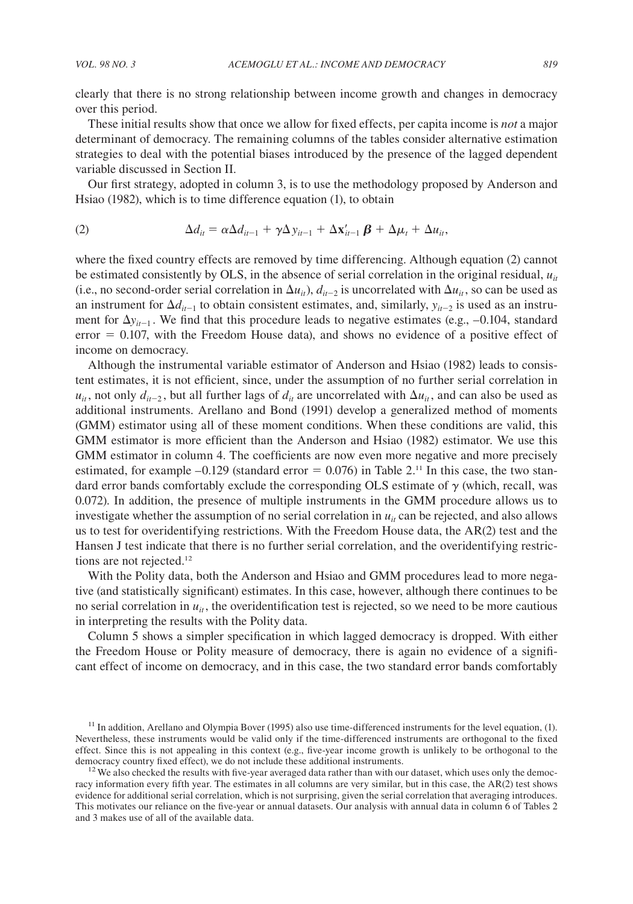clearly that there is no strong relationship between income growth and changes in democracy over this period.

These initial results show that once we allow for fixed effects, per capita income is *not* a major determinant of democracy. The remaining columns of the tables consider alternative estimation strategies to deal with the potential biases introduced by the presence of the lagged dependent variable discussed in Section II.

Our first strategy, adopted in column 3, is to use the methodology proposed by Anderson and Hsiao (1982), which is to time difference equation (1), to obtain

(2) 
$$
\Delta d_{it} = \alpha \Delta d_{it-1} + \gamma \Delta y_{it-1} + \Delta \mathbf{x}'_{it-1} \boldsymbol{\beta} + \Delta \boldsymbol{\mu}_t + \Delta u_{it},
$$

where the fixed country effects are removed by time differencing. Although equation (2) cannot be estimated consistently by OLS, in the absence of serial correlation in the original residual,  $u_{it}$ (i.e., no second-order serial correlation in  $\Delta u_i$ ),  $d_{i-2}$  is uncorrelated with  $\Delta u_i$ , so can be used as an instrument for  $\Delta d_{ii-1}$  to obtain consistent estimates, and, similarly,  $y_{ii-2}$  is used as an instrument for  $\Delta y_{it-1}$ . We find that this procedure leads to negative estimates (e.g., -0.104, standard error  $= 0.107$ , with the Freedom House data), and shows no evidence of a positive effect of income on democracy.

Although the instrumental variable estimator of Anderson and Hsiao (1982) leads to consistent estimates, it is not efficient, since, under the assumption of no further serial correlation in  $u_{it}$ , not only  $d_{it-2}$ , but all further lags of  $d_{it}$  are uncorrelated with  $\Delta u_{it}$ , and can also be used as additional instruments. Arellano and Bond (1991) develop a generalized method of moments (GMM) estimator using all of these moment conditions. When these conditions are valid, this GMM estimator is more efficient than the Anderson and Hsiao (1982) estimator. We use this GMM estimator in column 4. The coefficients are now even more negative and more precisely estimated, for example  $-0.129$  (standard error = 0.076) in Table 2.<sup>11</sup> In this case, the two standard error bands comfortably exclude the corresponding OLS estimate of  $\gamma$  (which, recall, was 0.072). In addition, the presence of multiple instruments in the GMM procedure allows us to investigate whether the assumption of no serial correlation in  $u_{it}$  can be rejected, and also allows us to test for overidentifying restrictions. With the Freedom House data, the AR(2) test and the Hansen J test indicate that there is no further serial correlation, and the overidentifying restrictions are not rejected.<sup>12</sup>

With the Polity data, both the Anderson and Hsiao and GMM procedures lead to more negative (and statistically significant) estimates. In this case, however, although there continues to be no serial correlation in  $u_{ii}$ , the overidentification test is rejected, so we need to be more cautious in interpreting the results with the Polity data.

Column 5 shows a simpler specification in which lagged democracy is dropped. With either the Freedom House or Polity measure of democracy, there is again no evidence of a significant effect of income on democracy, and in this case, the two standard error bands comfortably

 $11$  In addition, Arellano and Olympia Bover (1995) also use time-differenced instruments for the level equation, (1). Nevertheless, these instruments would be valid only if the time-differenced instruments are orthogonal to the fixed effect. Since this is not appealing in this context (e.g., five-year income growth is unlikely to be orthogonal to the democracy country fixed effect), we do not include these additional instruments.<br><sup>12</sup> We also checked the results with five-year averaged data rather than with our dataset, which uses only the democ-

racy information every fifth year. The estimates in all columns are very similar, but in this case, the AR(2) test shows evidence for additional serial correlation, which is not surprising, given the serial correlation that averaging introduces. This motivates our reliance on the five-year or annual datasets. Our analysis with annual data in column 6 of Tables 2 and 3 makes use of all of the available data.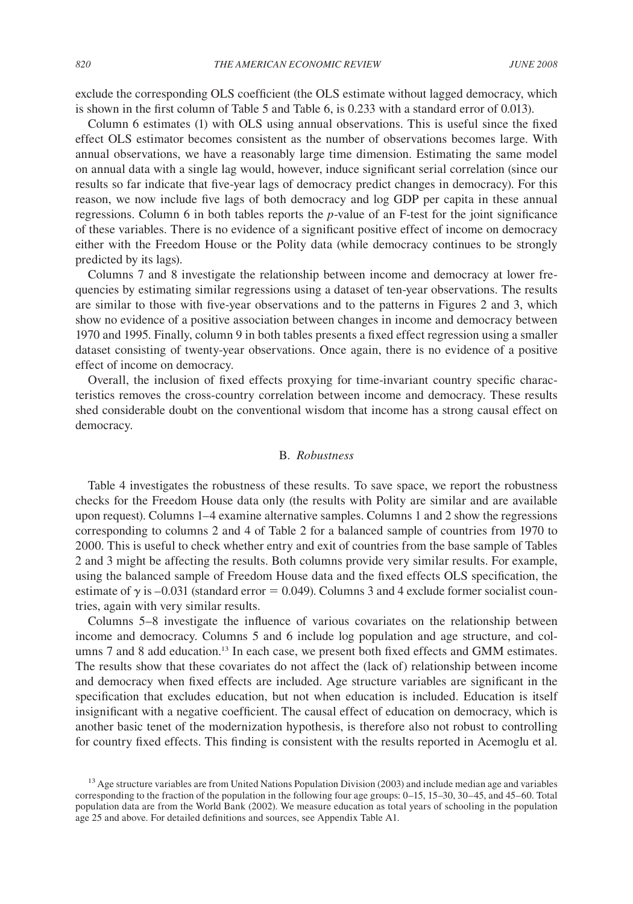exclude the corresponding OLS coefficient (the OLS estimate without lagged democracy, which is shown in the first column of Table 5 and Table 6, is 0.233 with a standard error of 0.013).

Column 6 estimates (1) with OLS using annual observations. This is useful since the fixed effect OLS estimator becomes consistent as the number of observations becomes large. With annual observations, we have a reasonably large time dimension. Estimating the same model on annual data with a single lag would, however, induce significant serial correlation (since our results so far indicate that five-year lags of democracy predict changes in democracy). For this reason, we now include five lags of both democracy and log GDP per capita in these annual regressions. Column 6 in both tables reports the *p*-value of an F-test for the joint significance of these variables. There is no evidence of a significant positive effect of income on democracy either with the Freedom House or the Polity data (while democracy continues to be strongly predicted by its lags).

Columns 7 and 8 investigate the relationship between income and democracy at lower frequencies by estimating similar regressions using a dataset of ten-year observations. The results are similar to those with five-year observations and to the patterns in Figures 2 and 3, which show no evidence of a positive association between changes in income and democracy between 1970 and 1995. Finally, column 9 in both tables presents a fixed effect regression using a smaller dataset consisting of twenty-year observations. Once again, there is no evidence of a positive effect of income on democracy.

Overall, the inclusion of fixed effects proxying for time-invariant country specific characteristics removes the cross-country correlation between income and democracy. These results shed considerable doubt on the conventional wisdom that income has a strong causal effect on democracy.

## B. *Robustness*

Table 4 investigates the robustness of these results. To save space, we report the robustness checks for the Freedom House data only (the results with Polity are similar and are available upon request). Columns 1–4 examine alternative samples. Columns 1 and 2 show the regressions corresponding to columns 2 and 4 of Table 2 for a balanced sample of countries from 1970 to 2000. This is useful to check whether entry and exit of countries from the base sample of Tables 2 and 3 might be affecting the results. Both columns provide very similar results. For example, using the balanced sample of Freedom House data and the fixed effects OLS specification, the estimate of  $\gamma$  is –0.031 (standard error = 0.049). Columns 3 and 4 exclude former socialist countries, again with very similar results.

Columns 5–8 investigate the influence of various covariates on the relationship between income and democracy. Columns 5 and 6 include log population and age structure, and columns 7 and 8 add education.13 In each case, we present both fixed effects and GMM estimates. The results show that these covariates do not affect the (lack of) relationship between income and democracy when fixed effects are included. Age structure variables are significant in the specification that excludes education, but not when education is included. Education is itself insignificant with a negative coefficient. The causal effect of education on democracy, which is another basic tenet of the modernization hypothesis, is therefore also not robust to controlling for country fixed effects. This finding is consistent with the results reported in Acemoglu et al.

 $<sup>13</sup>$  Age structure variables are from United Nations Population Division (2003) and include median age and variables</sup> corresponding to the fraction of the population in the following four age groups: 0–15, 15–30, 30–45, and 45–60. Total population data are from the World Bank (2002). We measure education as total years of schooling in the population age 25 and above. For detailed definitions and sources, see Appendix Table A1.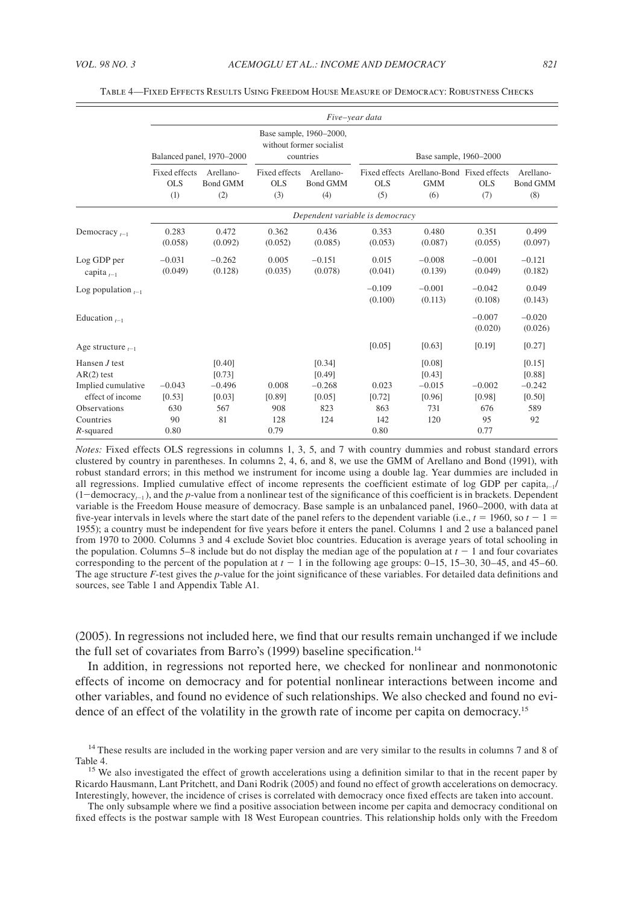|                                                                                |                                    |                                        |                                    |                                                                  | Five-year data                  |                                                                |                     |                                        |  |
|--------------------------------------------------------------------------------|------------------------------------|----------------------------------------|------------------------------------|------------------------------------------------------------------|---------------------------------|----------------------------------------------------------------|---------------------|----------------------------------------|--|
|                                                                                |                                    | Balanced panel, 1970-2000              |                                    | Base sample, 1960-2000,<br>without former socialist<br>countries |                                 | Base sample, 1960–2000                                         |                     |                                        |  |
|                                                                                | Fixed effects<br><b>OLS</b><br>(1) | Arellano-<br><b>Bond GMM</b><br>(2)    | Fixed effects<br><b>OLS</b><br>(3) | Arellano-<br><b>Bond GMM</b><br>(4)                              | <b>OLS</b><br>(5)               | Fixed effects Arellano-Bond Fixed effects<br><b>GMM</b><br>(6) | <b>OLS</b><br>(7)   | Arellano-<br><b>Bond GMM</b><br>(8)    |  |
|                                                                                |                                    |                                        |                                    |                                                                  | Dependent variable is democracy |                                                                |                     |                                        |  |
| Democracy $_{t-1}$                                                             | 0.283<br>(0.058)                   | 0.472<br>(0.092)                       | 0.362<br>(0.052)                   | 0.436<br>(0.085)                                                 | 0.353<br>(0.053)                | 0.480<br>(0.087)                                               | 0.351<br>(0.055)    | 0.499<br>(0.097)                       |  |
| Log GDP per<br>capita $_{t-1}$                                                 | $-0.031$<br>(0.049)                | $-0.262$<br>(0.128)                    | 0.005<br>(0.035)                   | $-0.151$<br>(0.078)                                              | 0.015<br>(0.041)                | $-0.008$<br>(0.139)                                            | $-0.001$<br>(0.049) | $-0.121$<br>(0.182)                    |  |
| Log population $_{t-1}$                                                        |                                    |                                        |                                    |                                                                  | $-0.109$<br>(0.100)             | $-0.001$<br>(0.113)                                            | $-0.042$<br>(0.108) | 0.049<br>(0.143)                       |  |
| Education $_{t-1}$                                                             |                                    |                                        |                                    |                                                                  |                                 |                                                                | $-0.007$<br>(0.020) | $-0.020$<br>(0.026)                    |  |
| Age structure $_{t-1}$                                                         |                                    |                                        |                                    |                                                                  | [0.05]                          | [0.63]                                                         | [0.19]              | [0.27]                                 |  |
| Hansen <i>J</i> test<br>$AR(2)$ test<br>Implied cumulative<br>effect of income | $-0.043$<br>[0.53]                 | [0.40]<br>[0.73]<br>$-0.496$<br>[0.03] | 0.008<br>[0.89]                    | [0.34]<br>[0.49]<br>$-0.268$<br>[0.05]                           | 0.023<br>[0.72]                 | [0.08]<br>[0.43]<br>$-0.015$<br>[0.96]                         | $-0.002$<br>[0.98]  | [0.15]<br>[0.88]<br>$-0.242$<br>[0.50] |  |
| <b>Observations</b>                                                            | 630                                | 567                                    | 908                                | 823                                                              | 863                             | 731                                                            | 676                 | 589                                    |  |
| Countries<br>$R$ -squared                                                      | 90<br>0.80                         | 81                                     | 128<br>0.79                        | 124                                                              | 142<br>0.80                     | 120                                                            | 95<br>0.77          | 92                                     |  |

Table 4—Fixed Effects Results Using Freedom House Measure of Democracy: Robustness Checks

*Notes:* Fixed effects OLS regressions in columns 1, 3, 5, and 7 with country dummies and robust standard errors clustered by country in parentheses. In columns 2, 4, 6, and 8, we use the GMM of Arellano and Bond (1991), with robust standard errors; in this method we instrument for income using a double lag. Year dummies are included in all regressions. Implied cumulative effect of income represents the coefficient estimate of log GDP per capita $_{t-1}$ /  $(1-\text{demoracy}_{t-1})$ , and the *p*-value from a nonlinear test of the significance of this coefficient is in brackets. Dependent variable is the Freedom House measure of democracy. Base sample is an unbalanced panel, 1960–2000, with data at five-year intervals in levels where the start date of the panel refers to the dependent variable (i.e.,  $t = 1960$ , so  $t - 1 =$ 1955); a country must be independent for five years before it enters the panel. Columns 1 and 2 use a balanced panel from 1970 to 2000. Columns 3 and 4 exclude Soviet bloc countries. Education is average years of total schooling in the population. Columns  $5-8$  include but do not display the median age of the population at  $t - 1$  and four covariates corresponding to the percent of the population at  $t - 1$  in the following age groups: 0–15, 15–30, 30–45, and 45–60. The age structure *F*-test gives the *p*-value for the joint significance of these variables. For detailed data definitions and sources, see Table 1 and Appendix Table A1.

(2005). In regressions not included here, we find that our results remain unchanged if we include the full set of covariates from Barro's (1999) baseline specification.<sup>14</sup>

In addition, in regressions not reported here, we checked for nonlinear and nonmonotonic effects of income on democracy and for potential nonlinear interactions between income and other variables, and found no evidence of such relationships. We also checked and found no evidence of an effect of the volatility in the growth rate of income per capita on democracy.15

<sup>14</sup> These results are included in the working paper version and are very similar to the results in columns 7 and 8 of Table 4. <sup>15</sup> We also investigated the effect of growth accelerations using a definition similar to that in the recent paper by

Ricardo Hausmann, Lant Pritchett, and Dani Rodrik (2005) and found no effect of growth accelerations on democracy. Interestingly, however, the incidence of crises is correlated with democracy once fixed effects are taken into account.

The only subsample where we find a positive association between income per capita and democracy conditional on fixed effects is the postwar sample with 18 West European countries. This relationship holds only with the Freedom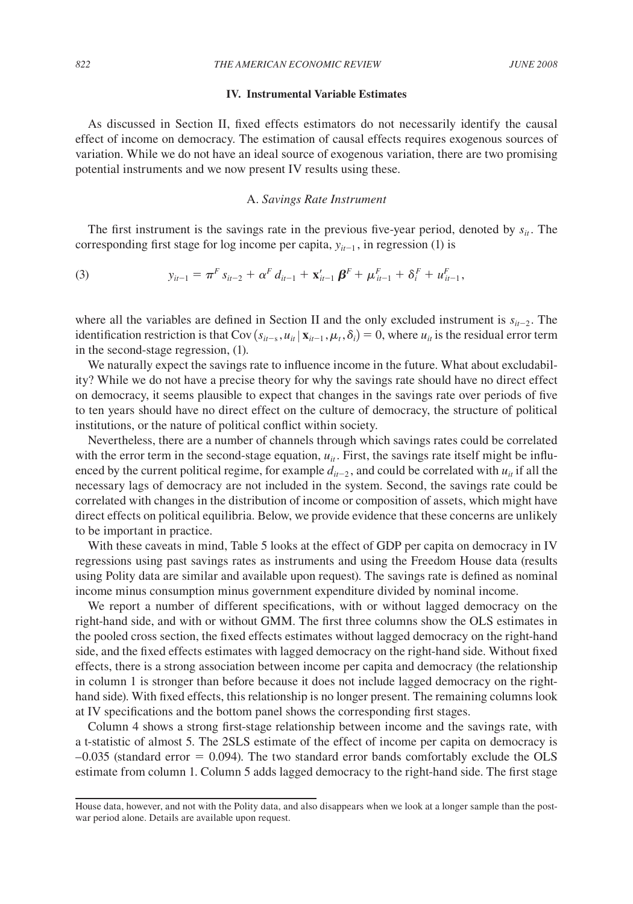#### **IV. Instrumental Variable Estimates**

As discussed in Section II, fixed effects estimators do not necessarily identify the causal effect of income on democracy. The estimation of causal effects requires exogenous sources of variation. While we do not have an ideal source of exogenous variation, there are two promising potential instruments and we now present IV results using these.

## A. *Savings Rate Instrument*

The first instrument is the savings rate in the previous five-year period, denoted by  $s_{it}$ . The corresponding first stage for log income per capita,  $y_{it-1}$ , in regression (1) is

(3) 
$$
y_{it-1} = \pi^F s_{it-2} + \alpha^F d_{it-1} + \mathbf{x}'_{it-1} \boldsymbol{\beta}^F + \mu^F_{it-1} + \delta^F_i + \mu^F_{it-1},
$$

where all the variables are defined in Section II and the only excluded instrument is  $s_{it-2}$ . The identification restriction is that Cov  $(s_{it-s}, u_{it} | \mathbf{x}_{it-1}, \mu_t, \delta_i) = 0$ , where  $u_{it}$  is the residual error term in the second-stage regression, (1).

We naturally expect the savings rate to influence income in the future. What about excludability? While we do not have a precise theory for why the savings rate should have no direct effect on democracy, it seems plausible to expect that changes in the savings rate over periods of five to ten years should have no direct effect on the culture of democracy, the structure of political institutions, or the nature of political conflict within society.

Nevertheless, there are a number of channels through which savings rates could be correlated with the error term in the second-stage equation,  $u_{it}$ . First, the savings rate itself might be influenced by the current political regime, for example  $d_{it-2}$ , and could be correlated with  $u_{it}$  if all the necessary lags of democracy are not included in the system. Second, the savings rate could be correlated with changes in the distribution of income or composition of assets, which might have direct effects on political equilibria. Below, we provide evidence that these concerns are unlikely to be important in practice.

With these caveats in mind, Table 5 looks at the effect of GDP per capita on democracy in IV regressions using past savings rates as instruments and using the Freedom House data (results using Polity data are similar and available upon request). The savings rate is defined as nominal income minus consumption minus government expenditure divided by nominal income.

We report a number of different specifications, with or without lagged democracy on the right-hand side, and with or without GMM. The first three columns show the OLS estimates in the pooled cross section, the fixed effects estimates without lagged democracy on the right-hand side, and the fixed effects estimates with lagged democracy on the right-hand side. Without fixed effects, there is a strong association between income per capita and democracy (the relationship in column 1 is stronger than before because it does not include lagged democracy on the righthand side). With fixed effects, this relationship is no longer present. The remaining columns look at IV specifications and the bottom panel shows the corresponding first stages.

Column 4 shows a strong first-stage relationship between income and the savings rate, with a t-statistic of almost 5. The 2SLS estimate of the effect of income per capita on democracy is  $-0.035$  (standard error = 0.094). The two standard error bands comfortably exclude the OLS estimate from column 1. Column 5 adds lagged democracy to the right-hand side. The first stage

House data, however, and not with the Polity data, and also disappears when we look at a longer sample than the postwar period alone. Details are available upon request.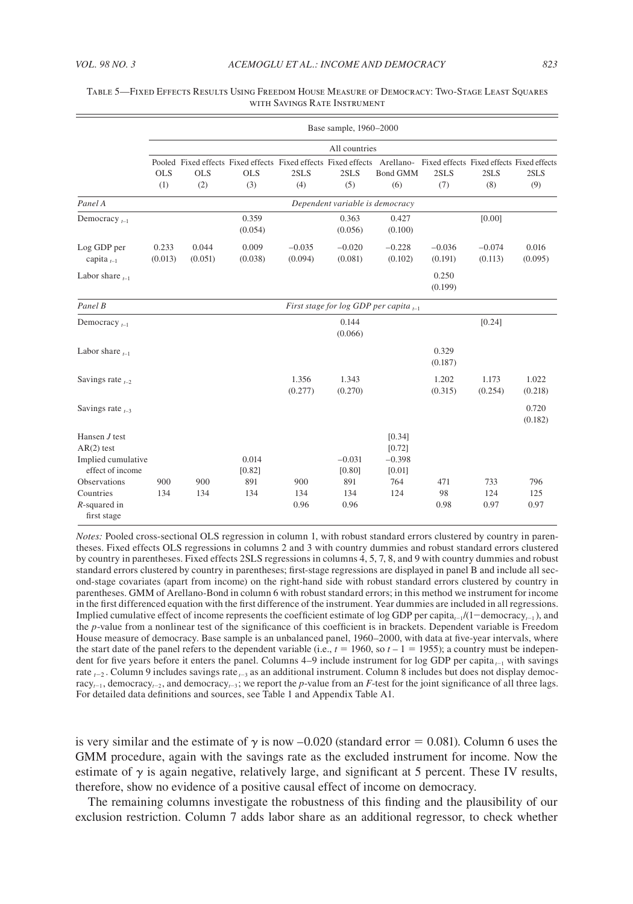|                                                                         | Base sample, 1960-2000          |                   |                                                                                                                                        |                     |                                             |                                        |                     |                     |                    |
|-------------------------------------------------------------------------|---------------------------------|-------------------|----------------------------------------------------------------------------------------------------------------------------------------|---------------------|---------------------------------------------|----------------------------------------|---------------------|---------------------|--------------------|
|                                                                         |                                 |                   |                                                                                                                                        |                     | All countries                               |                                        |                     |                     |                    |
|                                                                         | <b>OLS</b><br>(1)               | <b>OLS</b><br>(2) | Pooled Fixed effects Fixed effects Fixed effects Fixed effects Arellano-Fixed effects Fixed effects Fixed effects<br><b>OLS</b><br>(3) | 2SLS<br>(4)         | 2SLS<br>(5)                                 | <b>Bond GMM</b><br>(6)                 | 2SLS<br>(7)         | 2SLS<br>(8)         | 2SLS<br>(9)        |
| Panel A                                                                 | Dependent variable is democracy |                   |                                                                                                                                        |                     |                                             |                                        |                     |                     |                    |
| Democracy $_{t-1}$                                                      |                                 |                   | 0.359<br>(0.054)                                                                                                                       |                     | 0.363<br>(0.056)                            | 0.427<br>(0.100)                       |                     | [0.00]              |                    |
| Log GDP per<br>capita $_{l-1}$                                          | 0.233<br>(0.013)                | 0.044<br>(0.051)  | 0.009<br>(0.038)                                                                                                                       | $-0.035$<br>(0.094) | $-0.020$<br>(0.081)                         | $-0.228$<br>(0.102)                    | $-0.036$<br>(0.191) | $-0.074$<br>(0.113) | 0.016<br>(0.095)   |
| Labor share $_{t-1}$                                                    |                                 |                   |                                                                                                                                        |                     |                                             |                                        | 0.250<br>(0.199)    |                     |                    |
| Panel B                                                                 |                                 |                   |                                                                                                                                        |                     | First stage for log GDP per capita $_{l-1}$ |                                        |                     |                     |                    |
| Democracy $_{t-1}$                                                      |                                 |                   |                                                                                                                                        |                     | 0.144<br>(0.066)                            |                                        |                     | [0.24]              |                    |
| Labor share $_{t=1}$                                                    |                                 |                   |                                                                                                                                        |                     |                                             |                                        | 0.329<br>(0.187)    |                     |                    |
| Savings rate $_{t=2}$                                                   |                                 |                   |                                                                                                                                        | 1.356<br>(0.277)    | 1.343<br>(0.270)                            |                                        | 1.202<br>(0.315)    | 1.173<br>(0.254)    | 1.022<br>(0.218)   |
| Savings rate $_{-3}$                                                    |                                 |                   |                                                                                                                                        |                     |                                             |                                        |                     |                     | 0.720<br>(0.182)   |
| Hansen J test<br>$AR(2)$ test<br>Implied cumulative<br>effect of income |                                 |                   | 0.014<br>[0.82]                                                                                                                        |                     | $-0.031$<br>[0.80]                          | [0.34]<br>[0.72]<br>$-0.398$<br>[0.01] |                     |                     |                    |
| Observations<br>Countries<br>$R$ -squared in<br>first stage             | 900<br>134                      | 900<br>134        | 891<br>134                                                                                                                             | 900<br>134<br>0.96  | 891<br>134<br>0.96                          | 764<br>124                             | 471<br>98<br>0.98   | 733<br>124<br>0.97  | 796<br>125<br>0.97 |

#### Table 5—Fixed Effects Results Using Freedom House Measure of Democracy: Two-Stage Least Squares with Savings Rate Instrument

*Notes: Pooled cross-sectional OLS regression in column 1, with robust standard errors clustered by country in paren*theses. Fixed effects OLS regressions in columns 2 and 3 with country dummies and robust standard errors clustered by country in parentheses. Fixed effects 2SLS regressions in columns 4, 5, 7, 8, and 9 with country dummies and robust standard errors clustered by country in parentheses; first-stage regressions are displayed in panel B and include all second-stage covariates (apart from income) on the right-hand side with robust standard errors clustered by country in parentheses. GMM of Arellano-Bond in column 6 with robust standard errors; in this method we instrument for income in the first differenced equation with the first difference of the instrument. Year dummies are included in all regressions. Implied cumulative effect of income represents the coefficient estimate of log GDP per capita<sub> $t-1$ </sub> $(1$ –democracy<sub> $t-1$ </sub>), and the *p*-value from a nonlinear test of the significance of this coefficient is in brackets. Dependent variable is Freedom House measure of democracy. Base sample is an unbalanced panel, 1960–2000, with data at five-year intervals, where the start date of the panel refers to the dependent variable (i.e.,  $t = 1960$ , so  $t - 1 = 1955$ ); a country must be independent for five years before it enters the panel. Columns  $4-9$  include instrument for log GDP per capita  $_{t-1}$  with savings rate  $_{t-2}$ . Column 9 includes savings rate  $_{t-3}$  as an additional instrument. Column 8 includes but does not display democracy<sub>t-1</sub>, democracy<sub>t-2</sub>, and democracy<sub>t-3</sub>; we report the *p*-value from an *F*-test for the joint significance of all three lags. For detailed data definitions and sources, see Table 1 and Appendix Table A1.

is very similar and the estimate of  $\gamma$  is now –0.020 (standard error = 0.081). Column 6 uses the GMM procedure, again with the savings rate as the excluded instrument for income. Now the estimate of  $\gamma$  is again negative, relatively large, and significant at 5 percent. These IV results, therefore, show no evidence of a positive causal effect of income on democracy.

The remaining columns investigate the robustness of this finding and the plausibility of our exclusion restriction. Column 7 adds labor share as an additional regressor, to check whether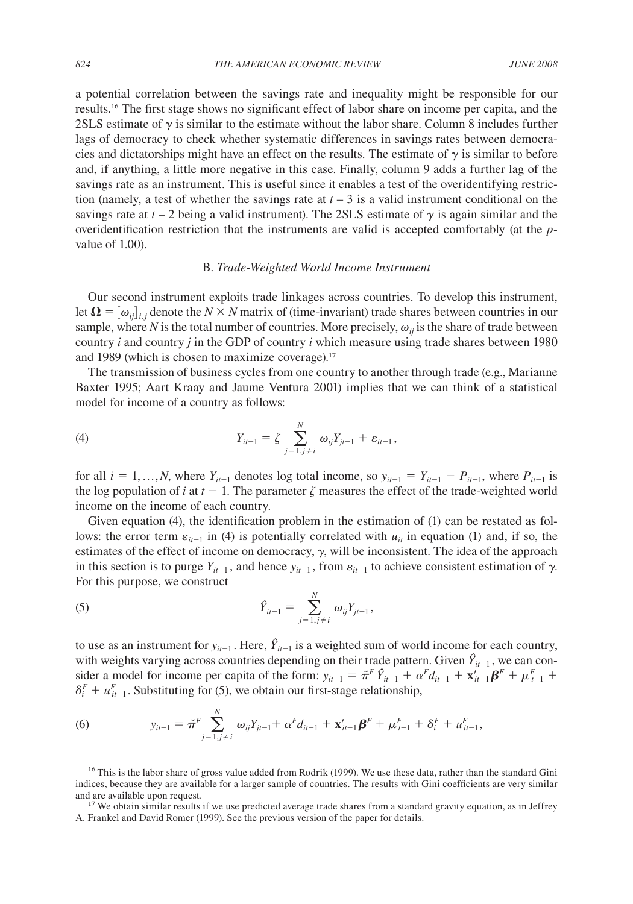*824 THE AMERICAN ECONOMIC REVIEW June 2008*

a potential correlation between the savings rate and inequality might be responsible for our results.16 The first stage shows no significant effect of labor share on income per capita, and the 2SLS estimate of  $\gamma$  is similar to the estimate without the labor share. Column 8 includes further lags of democracy to check whether systematic differences in savings rates between democracies and dictatorships might have an effect on the results. The estimate of  $\gamma$  is similar to before and, if anything, a little more negative in this case. Finally, column 9 adds a further lag of the savings rate as an instrument. This is useful since it enables a test of the overidentifying restriction (namely, a test of whether the savings rate at  $t - 3$  is a valid instrument conditional on the savings rate at  $t - 2$  being a valid instrument). The 2SLS estimate of  $\gamma$  is again similar and the overidentification restriction that the instruments are valid is accepted comfortably (at the *p*value of 1.00).

### B. *Trade-Weighted World Income Instrument*

Our second instrument exploits trade linkages across countries. To develop this instrument, let  $\Omega = [\omega_{ij}]_{i,j}$  denote the  $N \times N$  matrix of (time-invariant) trade shares between countries in our sample, where  $N$  is the total number of countries. More precisely,  $\omega_{ij}$  is the share of trade between country *i* and country *j* in the GDP of country *i* which measure using trade shares between 1980 and 1989 (which is chosen to maximize coverage).<sup>17</sup>

The transmission of business cycles from one country to another through trade (e.g., Marianne Baxter 1995; Aart Kraay and Jaume Ventura 2001) implies that we can think of a statistical model for income of a country as follows:

(4) 
$$
Y_{it-1} = \zeta \sum_{j=1, j \neq i}^{N} \omega_{ij} Y_{jt-1} + \varepsilon_{it-1},
$$

for all  $i = 1, ..., N$ , where  $Y_{it-1}$  denotes log total income, so  $y_{it-1} = Y_{it-1} - P_{it-1}$ , where  $P_{it-1}$  is the log population of *i* at  $t - 1$ . The parameter  $\zeta$  measures the effect of the trade-weighted world income on the income of each country.

Given equation (4), the identification problem in the estimation of (1) can be restated as follows: the error term  $\varepsilon_{it-1}$  in (4) is potentially correlated with  $u_{it}$  in equation (1) and, if so, the estimates of the effect of income on democracy,  $\gamma$ , will be inconsistent. The idea of the approach in this section is to purge  $Y_{it-1}$ , and hence  $y_{it-1}$ , from  $\varepsilon_{it-1}$  to achieve consistent estimation of  $\gamma$ . For this purpose, we construct

(5) 
$$
\hat{Y}_{it-1} = \sum_{j=1, j \neq i}^{N} \omega_{ij} Y_{jt-1},
$$

to use as an instrument for  $y_{it-1}$ . Here,  $\hat{Y}_{it-1}$  is a weighted sum of world income for each country, with weights varying across countries depending on their trade pattern. Given  $\hat{Y}_{i-1}$ , we can consider a model for income per capita of the form:  $y_{it-1} = \tilde{\pi}^F \hat{Y}_{it-1} + \alpha^F d_{it-1} + \mathbf{X}_{it-1}^H \boldsymbol{\beta}^F + \mu_{t-1}^F +$  $\delta_i^F + u_{it-1}^F$ . Substituting for (5), we obtain our first-stage relationship,

(6) 
$$
y_{ii-1} = \tilde{\pi}^F \sum_{j=1, j \neq i}^{N} \omega_{ij} Y_{ji-1} + \alpha^F d_{ii-1} + \mathbf{x}'_{ii-1} \boldsymbol{\beta}^F + \mu_{i-1}^F + \delta_i^F + \mu_{ii-1}^F,
$$

<sup>16</sup> This is the labor share of gross value added from Rodrik (1999). We use these data, rather than the standard Gini indices, because they are available for a larger sample of countries. The results with Gini coefficients are very similar and are available upon request.<br><sup>17</sup> We obtain similar results if we use predicted average trade shares from a standard gravity equation, as in Jeffrey

A. Frankel and David Romer (1999). See the previous version of the paper for details.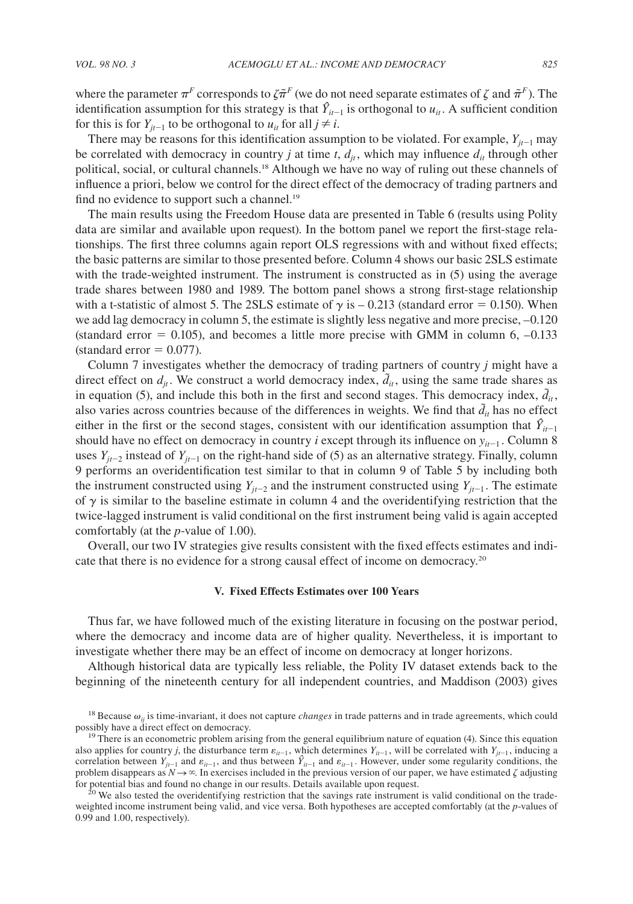where the parameter  $\pi^F$  corresponds to  $\zeta \tilde{\pi}^F$  (we do not need separate estimates of  $\zeta$  and  $\tilde{\pi}^F$ ). The identification assumption for this strategy is that  $\hat{Y}_{i-1}$  is orthogonal to  $u_i$ . A sufficient condition for this is for  $Y_{i-1}$  to be orthogonal to  $u_{i}$  for all  $j \neq i$ .

There may be reasons for this identification assumption to be violated. For example,  $Y_{jt-1}$  may be correlated with democracy in country *j* at time *t*,  $d_{it}$ , which may influence  $d_{it}$  through other political, social, or cultural channels.<sup>18</sup> Although we have no way of ruling out these channels of influence a priori, below we control for the direct effect of the democracy of trading partners and find no evidence to support such a channel.<sup>19</sup>

The main results using the Freedom House data are presented in Table 6 (results using Polity data are similar and available upon request). In the bottom panel we report the first-stage relationships. The first three columns again report OLS regressions with and without fixed effects; the basic patterns are similar to those presented before. Column 4 shows our basic 2SLS estimate with the trade-weighted instrument. The instrument is constructed as in (5) using the average trade shares between 1980 and 1989. The bottom panel shows a strong first-stage relationship with a t-statistic of almost 5. The 2SLS estimate of  $\gamma$  is  $-0.213$  (standard error = 0.150). When we add lag democracy in column 5, the estimate is slightly less negative and more precise, –0.120 (standard error  $= 0.105$ ), and becomes a little more precise with GMM in column 6, –0.133 (standard error  $= 0.077$ ).

Column 7 investigates whether the democracy of trading partners of country *j* might have a direct effect on  $d_{jt}$ . We construct a world democracy index,  $\tilde{d}_{it}$ , using the same trade shares as in equation (5), and include this both in the first and second stages. This democracy index,  $\tilde{d}_{it}$ , also varies across countries because of the differences in weights. We find that  $\tilde{d}_i$  has no effect either in the first or the second stages, consistent with our identification assumption that  $\hat{Y}_{it-1}$ should have no effect on democracy in country *i* except through its influence on  $y_{it-1}$ . Column 8 uses  $Y_{i_{t-2}}$  instead of  $Y_{i_{t-1}}$  on the right-hand side of (5) as an alternative strategy. Finally, column 9 performs an overidentification test similar to that in column 9 of Table 5 by including both the instrument constructed using  $Y_{j-2}$  and the instrument constructed using  $Y_{j-1}$ . The estimate of  $\gamma$  is similar to the baseline estimate in column 4 and the overidentifying restriction that the twice-lagged instrument is valid conditional on the first instrument being valid is again accepted comfortably (at the *p*-value of 1.00).

Overall, our two IV strategies give results consistent with the fixed effects estimates and indicate that there is no evidence for a strong causal effect of income on democracy.20

## **V. Fixed Effects Estimates over 100 Years**

Thus far, we have followed much of the existing literature in focusing on the postwar period, where the democracy and income data are of higher quality. Nevertheless, it is important to investigate whether there may be an effect of income on democracy at longer horizons.

Although historical data are typically less reliable, the Polity IV dataset extends back to the beginning of the nineteenth century for all independent countries, and Maddison (2003) gives

<sup>20</sup> We also tested the overidentifying restriction that the savings rate instrument is valid conditional on the tradeweighted income instrument being valid, and vice versa. Both hypotheses are accepted comfortably (at the *p*-values of 0.99 and 1.00, respectively).

<sup>&</sup>lt;sup>18</sup> Because  $\omega_{ij}$  is time-invariant, it does not capture *changes* in trade patterns and in trade agreements, which could possibly have a direct effect on democracy.

<sup>&</sup>lt;sup>19</sup> There is an econometric problem arising from the general equilibrium nature of equation (4). Since this equation also applies for country *j*, the disturbance term  $\varepsilon_{ii-1}$ , which determines  $Y_{ii-1}$ , will be correlated with  $Y_{ji-1}$ , inducing a correlation between  $Y_{j-1}$  and  $\varepsilon_{i-1}$ , and thus between  $\hat{Y}_{i-1}$  and  $\varepsilon_{i-1}$ . However, under some regularity conditions, the problem disappears as  $N \to \infty$ . In exercises included in the previous version of our paper, we have estimated  $\zeta$  adjusting for potential bias and found no change in our results. Details available upon request.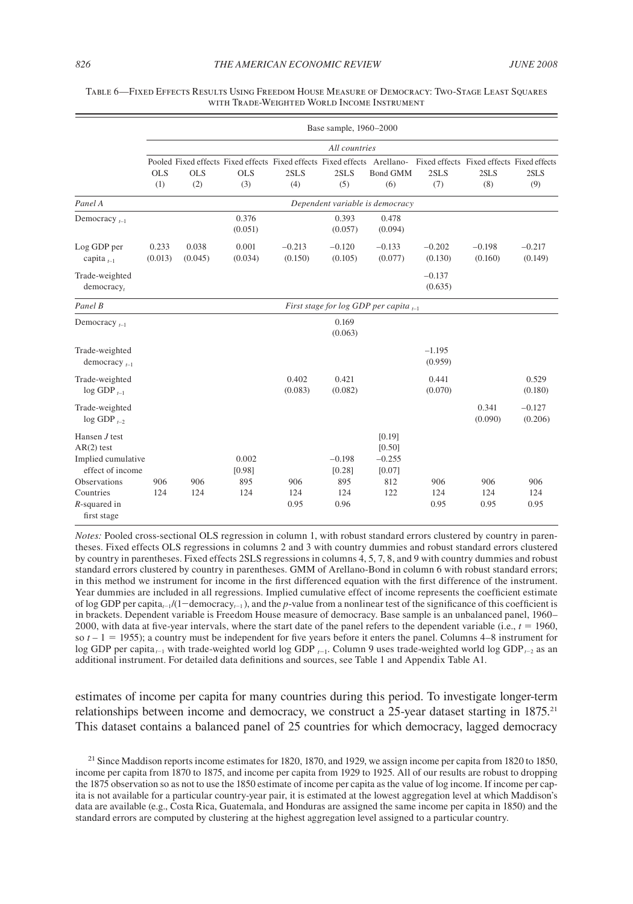|                                                                           |                                 | Base sample, 1960-2000 |                   |                                                                                         |                                            |                                        |                                                          |                     |                     |
|---------------------------------------------------------------------------|---------------------------------|------------------------|-------------------|-----------------------------------------------------------------------------------------|--------------------------------------------|----------------------------------------|----------------------------------------------------------|---------------------|---------------------|
|                                                                           |                                 |                        |                   |                                                                                         | All countries                              |                                        |                                                          |                     |                     |
|                                                                           | <b>OLS</b><br>(1)               | <b>OLS</b><br>(2)      | <b>OLS</b><br>(3) | Pooled Fixed effects Fixed effects Fixed effects Fixed effects Arellano-<br>2SLS<br>(4) | 2SLS<br>(5)                                | <b>Bond GMM</b><br>(6)                 | Fixed effects Fixed effects Fixed effects<br>2SLS<br>(7) | 2SLS<br>(8)         | 2SLS<br>(9)         |
| Panel A                                                                   | Dependent variable is democracy |                        |                   |                                                                                         |                                            |                                        |                                                          |                     |                     |
| Democracy $_{t-1}$                                                        |                                 |                        | 0.376<br>(0.051)  |                                                                                         | 0.393<br>(0.057)                           | 0.478<br>(0.094)                       |                                                          |                     |                     |
| Log GDP per<br>capita $_{t-1}$                                            | 0.233<br>(0.013)                | 0.038<br>(0.045)       | 0.001<br>(0.034)  | $-0.213$<br>(0.150)                                                                     | $-0.120$<br>(0.105)                        | $-0.133$<br>(0.077)                    | $-0.202$<br>(0.130)                                      | $-0.198$<br>(0.160) | $-0.217$<br>(0.149) |
| Trade-weighted<br>democracy,                                              |                                 |                        |                   |                                                                                         |                                            |                                        | $-0.137$<br>(0.635)                                      |                     |                     |
| Panel B                                                                   |                                 |                        |                   |                                                                                         | First stage for log GDP per capita $_{-1}$ |                                        |                                                          |                     |                     |
| Democracy $_{t-1}$                                                        |                                 |                        |                   |                                                                                         | 0.169<br>(0.063)                           |                                        |                                                          |                     |                     |
| Trade-weighted<br>democracy $_{t-1}$                                      |                                 |                        |                   |                                                                                         |                                            |                                        | $-1.195$<br>(0.959)                                      |                     |                     |
| Trade-weighted<br>$log GDP_{t-1}$                                         |                                 |                        |                   | 0.402<br>(0.083)                                                                        | 0.421<br>(0.082)                           |                                        | 0.441<br>(0.070)                                         |                     | 0.529<br>(0.180)    |
| Trade-weighted<br>$log GDP_{t-2}$                                         |                                 |                        |                   |                                                                                         |                                            |                                        |                                                          | 0.341<br>(0.090)    | $-0.127$<br>(0.206) |
| Hansen $J$ test<br>$AR(2)$ test<br>Implied cumulative<br>effect of income |                                 |                        | 0.002<br>[0.98]   |                                                                                         | $-0.198$<br>[0.28]                         | [0.19]<br>[0.50]<br>$-0.255$<br>[0.07] |                                                          |                     |                     |
| Observations<br>Countries<br>$R$ -squared in<br>first stage               | 906<br>124                      | 906<br>124             | 895<br>124        | 906<br>124<br>0.95                                                                      | 895<br>124<br>0.96                         | 812<br>122                             | 906<br>124<br>0.95                                       | 906<br>124<br>0.95  | 906<br>124<br>0.95  |

Table 6—Fixed Effects Results Using Freedom House Measure of Democracy: Two-Stage Least Squares with Trade-Weighted World Income Instrument

*Notes:* Pooled cross-sectional OLS regression in column 1, with robust standard errors clustered by country in parentheses. Fixed effects OLS regressions in columns 2 and 3 with country dummies and robust standard errors clustered by country in parentheses. Fixed effects 2SLS regressions in columns 4, 5, 7, 8, and 9 with country dummies and robust standard errors clustered by country in parentheses. GMM of Arellano-Bond in column 6 with robust standard errors; in this method we instrument for income in the first differenced equation with the first difference of the instrument. Year dummies are included in all regressions. Implied cumulative effect of income represents the coefficient estimate of log GDP per capita<sub> $t-1$ </sub>/(1-democracy<sub> $t-1$ </sub>), and the *p*-value from a nonlinear test of the significance of this coefficient is in brackets. Dependent variable is Freedom House measure of democracy. Base sample is an unbalanced panel, 1960– 2000, with data at five-year intervals, where the start date of the panel refers to the dependent variable (i.e.,  $t = 1960$ , so  $t - 1 = 1955$ ); a country must be independent for five years before it enters the panel. Columns  $4-8$  instrument for log GDP per capita<sub>t-1</sub> with trade-weighted world log GDP  $_{t-1}$ . Column 9 uses trade-weighted world log GDP<sub>t-2</sub> as an additional instrument. For detailed data definitions and sources, see Table 1 and Appendix Table A1.

estimates of income per capita for many countries during this period. To investigate longer-term relationships between income and democracy, we construct a 25-year dataset starting in 1875.<sup>21</sup> This dataset contains a balanced panel of 25 countries for which democracy, lagged democracy

<sup>&</sup>lt;sup>21</sup> Since Maddison reports income estimates for 1820, 1870, and 1929, we assign income per capita from 1820 to 1850, income per capita from 1870 to 1875, and income per capita from 1929 to 1925. All of our results are robust to dropping the 1875 observation so as not to use the 1850 estimate of income per capita as the value of log income. If income per capita is not available for a particular country-year pair, it is estimated at the lowest aggregation level at which Maddison's data are available (e.g., Costa Rica, Guatemala, and Honduras are assigned the same income per capita in 1850) and the standard errors are computed by clustering at the highest aggregation level assigned to a particular country.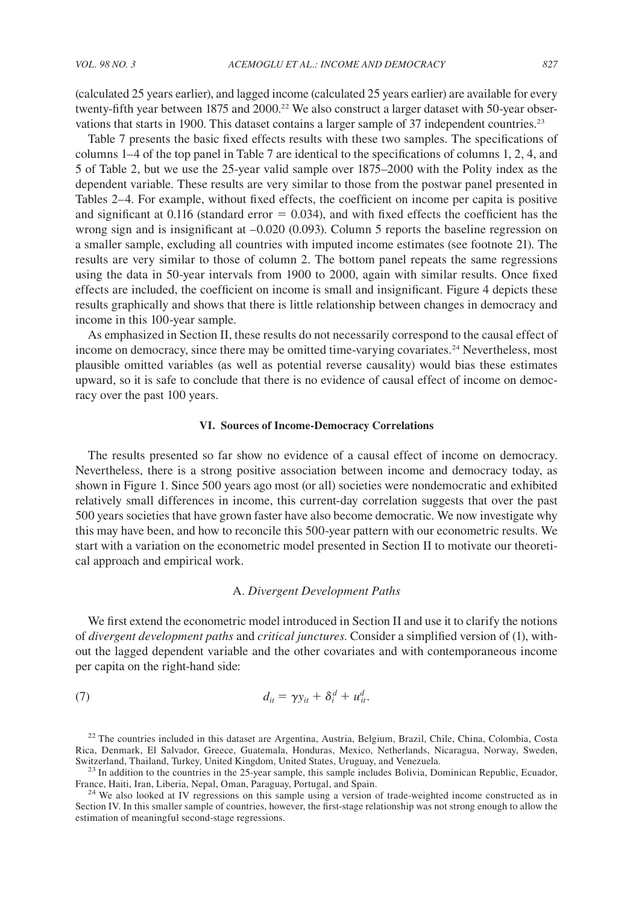(calculated 25 years earlier), and lagged income (calculated 25 years earlier) are available for every twenty-fifth year between 1875 and 2000.<sup>22</sup> We also construct a larger dataset with 50-year observations that starts in 1900. This dataset contains a larger sample of 37 independent countries.<sup>23</sup>

Table 7 presents the basic fixed effects results with these two samples. The specifications of columns 1–4 of the top panel in Table 7 are identical to the specifications of columns 1, 2, 4, and 5 of Table 2, but we use the 25-year valid sample over 1875–2000 with the Polity index as the dependent variable. These results are very similar to those from the postwar panel presented in Tables 2–4. For example, without fixed effects, the coefficient on income per capita is positive and significant at 0.116 (standard error  $= 0.034$ ), and with fixed effects the coefficient has the wrong sign and is insignificant at  $-0.020$  (0.093). Column 5 reports the baseline regression on a smaller sample, excluding all countries with imputed income estimates (see footnote 21). The results are very similar to those of column 2. The bottom panel repeats the same regressions using the data in 50-year intervals from 1900 to 2000, again with similar results. Once fixed effects are included, the coefficient on income is small and insignificant. Figure 4 depicts these results graphically and shows that there is little relationship between changes in democracy and income in this 100-year sample.

As emphasized in Section II, these results do not necessarily correspond to the causal effect of income on democracy, since there may be omitted time-varying covariates.<sup>24</sup> Nevertheless, most plausible omitted variables (as well as potential reverse causality) would bias these estimates upward, so it is safe to conclude that there is no evidence of causal effect of income on democracy over the past 100 years.

#### **VI. Sources of Income-Democracy Correlations**

The results presented so far show no evidence of a causal effect of income on democracy. Nevertheless, there is a strong positive association between income and democracy today, as shown in Figure 1. Since 500 years ago most (or all) societies were nondemocratic and exhibited relatively small differences in income, this current-day correlation suggests that over the past 500 years societies that have grown faster have also become democratic. We now investigate why this may have been, and how to reconcile this 500-year pattern with our econometric results. We start with a variation on the econometric model presented in Section II to motivate our theoretical approach and empirical work.

## A. *Divergent Development Paths*

We first extend the econometric model introduced in Section II and use it to clarify the notions of *divergent development paths* and *critical junctures*. Consider a simplified version of (1), without the lagged dependent variable and the other covariates and with contemporaneous income per capita on the right-hand side:

$$
d_{it} = \gamma y_{it} + \delta_i^d + u_{it}^d.
$$

<sup>22</sup> The countries included in this dataset are Argentina, Austria, Belgium, Brazil, Chile, China, Colombia, Costa Rica, Denmark, El Salvador, Greece, Guatemala, Honduras, Mexico, Netherlands, Nicaragua, Norway, Sweden,

Switzerland, Thailand, Turkey, United Kingdom, United States, Uruguay, and Venezuela.<br><sup>23</sup> In addition to the countries in the 25-year sample, this sample includes Bolivia, Dominican Republic, Ecuador,<br>France, Haiti, Iran,

 $^{24}$  We also looked at IV regressions on this sample using a version of trade-weighted income constructed as in Section IV. In this smaller sample of countries, however, the first-stage relationship was not strong enough to allow the estimation of meaningful second-stage regressions.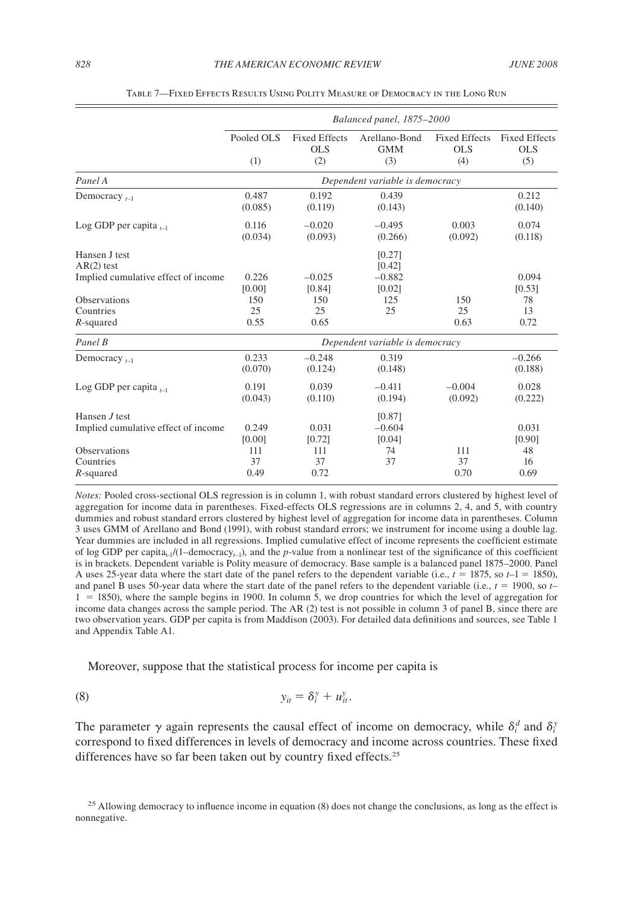|                                     |                  |                                    | Balanced panel, 1875-2000       |                                    |                                    |
|-------------------------------------|------------------|------------------------------------|---------------------------------|------------------------------------|------------------------------------|
|                                     | Pooled OLS       | <b>Fixed Effects</b><br><b>OLS</b> | Arellano-Bond<br><b>GMM</b>     | <b>Fixed Effects</b><br><b>OLS</b> | <b>Fixed Effects</b><br><b>OLS</b> |
|                                     | (1)              | (2)                                | (3)                             | (4)                                | (5)                                |
| Panel A                             |                  |                                    | Dependent variable is democracy |                                    |                                    |
| Democracy $_{t=1}$                  | 0.487<br>(0.085) | 0.192<br>(0.119)                   | 0.439<br>(0.143)                |                                    | 0.212<br>(0.140)                   |
| Log GDP per capita $_{t=1}$         | 0.116<br>(0.034) | $-0.020$<br>(0.093)                | $-0.495$<br>(0.266)             | 0.003<br>(0.092)                   | 0.074<br>(0.118)                   |
| Hansen J test<br>$AR(2)$ test       |                  |                                    | [0.27]<br>[0.42]                |                                    |                                    |
| Implied cumulative effect of income | 0.226<br>[0.00]  | $-0.025$<br>[0.84]                 | $-0.882$<br>[0.02]              |                                    | 0.094<br>[0.53]                    |
| <b>Observations</b>                 | 150              | 150                                | 125                             | 150                                | 78                                 |
| Countries                           | 25               | 25                                 | 25                              | 25                                 | 13                                 |
| $R$ -squared                        | 0.55             | 0.65                               |                                 | 0.63                               | 0.72                               |
| Panel B                             |                  |                                    | Dependent variable is democracy |                                    |                                    |
| Democracy $_{t-1}$                  | 0.233<br>(0.070) | $-0.248$<br>(0.124)                | 0.319<br>(0.148)                |                                    | $-0.266$<br>(0.188)                |
| Log GDP per capita $_{t=1}$         | 0.191<br>(0.043) | 0.039<br>(0.110)                   | $-0.411$<br>(0.194)             | $-0.004$<br>(0.092)                | 0.028<br>(0.222)                   |
| Hansen <i>J</i> test                |                  |                                    | [0.87]                          |                                    |                                    |
| Implied cumulative effect of income | 0.249<br>[0.00]  | 0.031<br>[0.72]                    | $-0.604$<br>[0.04]              |                                    | 0.031<br>[0.90]                    |
| <b>Observations</b>                 | 111              | 111                                | 74                              | 111                                | 48                                 |
| Countries                           | 37               | 37                                 | 37                              | 37                                 | 16                                 |
| R-squared                           | 0.49             | 0.72                               |                                 | 0.70                               | 0.69                               |

Table 7—Fixed Effects Results Using Polity Measure of Democracy in the Long Run

*Notes:* Pooled cross-sectional OLS regression is in column 1, with robust standard errors clustered by highest level of aggregation for income data in parentheses. Fixed-effects OLS regressions are in columns 2, 4, and 5, with country dummies and robust standard errors clustered by highest level of aggregation for income data in parentheses. Column 3 uses GMM of Arellano and Bond (1991), with robust standard errors; we instrument for income using a double lag. Year dummies are included in all regressions. Implied cumulative effect of income represents the coefficient estimate of log GDP per capita<sub>t-1</sub>/(1–democracy<sub>*t*-1</sub>), and the *p*-value from a nonlinear test of the significance of this coefficient is in brackets. Dependent variable is Polity measure of democracy. Base sample is a balanced panel 1875–2000. Panel A uses 25-year data where the start date of the panel refers to the dependent variable (i.e.,  $t = 1875$ , so  $t-1 = 1850$ ), and panel B uses 50-year data where the start date of the panel refers to the dependent variable (i.e.,  $t = 1900$ , so  $t 1 = 1850$ ), where the sample begins in 1900. In column 5, we drop countries for which the level of aggregation for income data changes across the sample period. The AR (2) test is not possible in column 3 of panel B, since there are two observation years. GDP per capita is from Maddison (2003). For detailed data definitions and sources, see Table 1 and Appendix Table A1.

Moreover, suppose that the statistical process for income per capita is

$$
y_{it} = \delta_i^y + u_{it}^y.
$$

The parameter  $\gamma$  again represents the causal effect of income on democracy, while  $\delta_i^d$  and  $\delta_i^y$ correspond to fixed differences in levels of democracy and income across countries. These fixed differences have so far been taken out by country fixed effects.<sup>25</sup>

<sup>&</sup>lt;sup>25</sup> Allowing democracy to influence income in equation (8) does not change the conclusions, as long as the effect is nonnegative.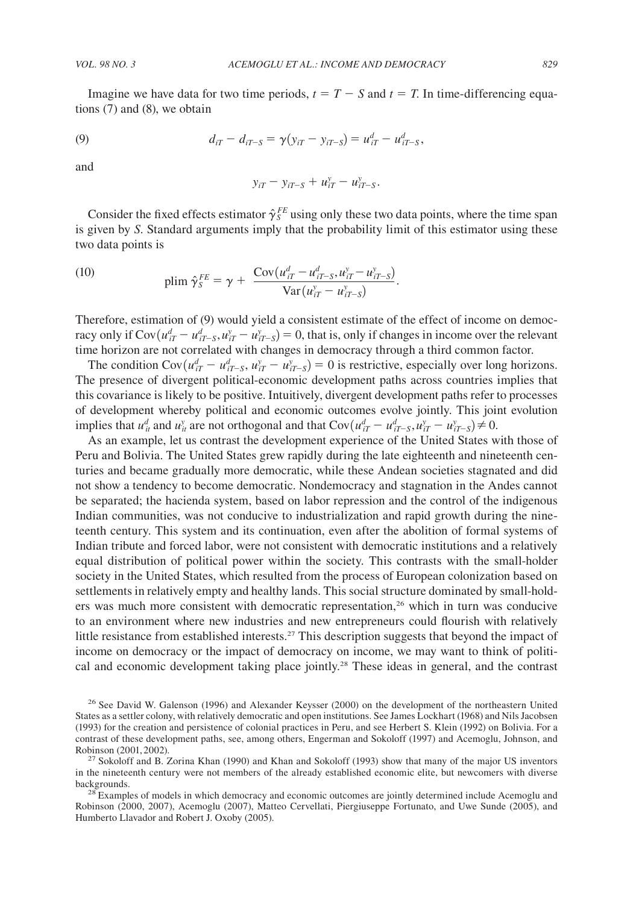Imagine we have data for two time periods,  $t = T - S$  and  $t = T$ . In time-differencing equations (7) and (8), we obtain

(9) 
$$
d_{iT} - d_{iT-S} = \gamma (y_{iT} - y_{iT-S}) = u_{iT}^d - u_{iT-S}^d,
$$

and

$$
y_{iT} - y_{iT-S} + u_{iT}^y - u_{iT-S}^y.
$$

Consider the fixed effects estimator  $\hat{\gamma}_s^{FE}$  using only these two data points, where the time span is given by *S*. Standard arguments imply that the probability limit of this estimator using these two data points is

(10) 
$$
\text{plim }\hat{\gamma}_S^{FE} = \gamma + \frac{\text{Cov}(u_{iT}^d - u_{iT-S}^d, u_{iT}^v - u_{iT-S}^v)}{\text{Var}(u_{iT}^v - u_{iT-S}^v)}.
$$

Therefore, estimation of (9) would yield a consistent estimate of the effect of income on democracy only if  $Cov(u_{iT}^d - u_{iT-S}^d, u_{iT}^v - u_{iT-S}^v) = 0$ , that is, only if changes in income over the relevant time horizon are not correlated with changes in democracy through a third common factor.

The condition  $Cov(u_{iT}^d - u_{iT-S}^d, u_{iT}^v - u_{iT-S}^v) = 0$  is restrictive, especially over long horizons. The presence of divergent political-economic development paths across countries implies that this covariance is likely to be positive. Intuitively, divergent development paths refer to processes of development whereby political and economic outcomes evolve jointly. This joint evolution implies that  $u_{it}^d$  and  $u_{it}^v$  are not orthogonal and that  $Cov(u_{iT}^d - u_{iT-S}^d, u_{iT}^v - u_{iT-S}^v) \neq 0$ .

As an example, let us contrast the development experience of the United States with those of Peru and Bolivia. The United States grew rapidly during the late eighteenth and nineteenth centuries and became gradually more democratic, while these Andean societies stagnated and did not show a tendency to become democratic. Nondemocracy and stagnation in the Andes cannot be separated; the hacienda system, based on labor repression and the control of the indigenous Indian communities, was not conducive to industrialization and rapid growth during the nineteenth century. This system and its continuation, even after the abolition of formal systems of Indian tribute and forced labor, were not consistent with democratic institutions and a relatively equal distribution of political power within the society. This contrasts with the small-holder society in the United States, which resulted from the process of European colonization based on settlements in relatively empty and healthy lands. This social structure dominated by small-holders was much more consistent with democratic representation,<sup>26</sup> which in turn was conducive to an environment where new industries and new entrepreneurs could flourish with relatively little resistance from established interests.<sup>27</sup> This description suggests that beyond the impact of income on democracy or the impact of democracy on income, we may want to think of political and economic development taking place jointly.<sup>28</sup> These ideas in general, and the contrast

<sup>&</sup>lt;sup>26</sup> See David W. Galenson (1996) and Alexander Keysser (2000) on the development of the northeastern United States as a settler colony, with relatively democratic and open institutions. See James Lockhart (1968) and Nils Jacobsen (1993) for the creation and persistence of colonial practices in Peru, and see Herbert S. Klein (1992) on Bolivia. For a contrast of these development paths, see, among others, Engerman and Sokoloff (1997) and Acemoglu, Johnson, and Robinson (2001, 2002). 2002). 27 Sokoloff and B. Zorina Khan (1990) and Khan and Sokoloff (1993) show that many of the major US inventors

in the nineteenth century were not members of the already established economic elite, but newcomers with diverse backgrounds.<br><sup>28</sup> Examples of models in which democracy and economic outcomes are jointly determined include Acemoglu and

Robinson (2000, 2007), Acemoglu (2007), Matteo Cervellati, Piergiuseppe Fortunato, and Uwe Sunde (2005), and Humberto Llavador and Robert J. Oxoby (2005).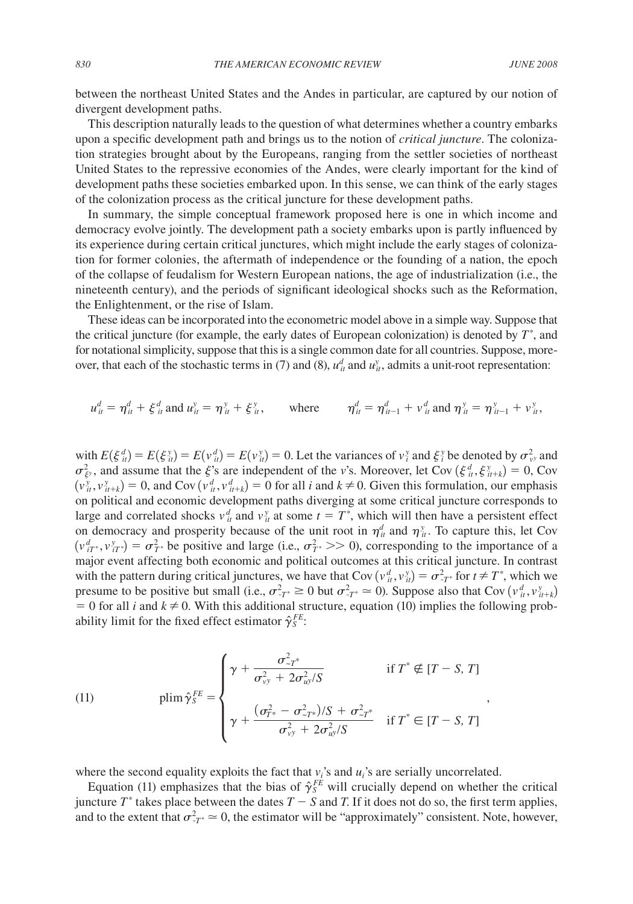between the northeast United States and the Andes in particular, are captured by our notion of divergent development paths.

This description naturally leads to the question of what determines whether a country embarks upon a specific development path and brings us to the notion of *critical juncture*. The colonization strategies brought about by the Europeans, ranging from the settler societies of northeast United States to the repressive economies of the Andes, were clearly important for the kind of development paths these societies embarked upon. In this sense, we can think of the early stages of the colonization process as the critical juncture for these development paths.

In summary, the simple conceptual framework proposed here is one in which income and democracy evolve jointly. The development path a society embarks upon is partly influenced by its experience during certain critical junctures, which might include the early stages of colonization for former colonies, the aftermath of independence or the founding of a nation, the epoch of the collapse of feudalism for Western European nations, the age of industrialization (i.e., the nineteenth century), and the periods of significant ideological shocks such as the Reformation, the Enlightenment, or the rise of Islam.

These ideas can be incorporated into the econometric model above in a simple way. Suppose that the critical juncture (for example, the early dates of European colonization) is denoted by *T*\* , and for notational simplicity, suppose that this is a single common date for all countries. Suppose, moreover, that each of the stochastic terms in (7) and (8),  $u^d_{it}$  and  $u^v_{it}$ , admits a unit-root representation:

$$
u_{it}^d = \eta_{it}^d + \xi_{it}^d
$$
 and  $u_{it}^y = \eta_{it}^y + \xi_{it}^y$ , where  $\eta_{it}^d = \eta_{it-1}^d + v_{it}^d$  and  $\eta_{it}^y = \eta_{it-1}^y + v_{it}^y$ ,

with  $E(\xi_{it}^d) = E(\xi_{it}^y) = E(v_{it}^d) = E(v_{it}^y) = 0$ . Let the variances of  $v_i^y$  and  $\xi_i^y$  be denoted by  $\sigma_{v}^2$  and  $\sigma_{\xi y}^2$ , and assume that the  $\xi$ 's are independent of the *v*'s. Moreover, let Cov  $(\xi_{it}^d, \xi_{it+k}^y) = 0$ , Cov  $(v_{it}^{\gamma}, v_{it+k}^{\gamma}) = 0$ , and Cov  $(v_{it}^d, v_{it+k}^d) = 0$  for all *i* and  $k \neq 0$ . Given this formulation, our emphasis on political and economic development paths diverging at some critical juncture corresponds to large and correlated shocks  $v_{it}^d$  and  $v_{it}^y$  at some  $t = T^*$ , which will then have a persistent effect on democracy and prosperity because of the unit root in  $\eta^d_{it}$  and  $\eta^y_{it}$ . To capture this, let Cov  $(v_{iT^*}^d, v_{iT^*}^v) = \sigma_T^2$  be positive and large (i.e.,  $\sigma_T^2 \gg 0$ ), corresponding to the importance of a major event affecting both economic and political outcomes at this critical juncture. In contrast with the pattern during critical junctures, we have that Cov  $(v_u^d, v_u^y) = \sigma_{\tau}^2$  for  $t \neq T^*$ , which we presume to be positive but small (i.e.,  $\sigma_{\tau}^2 \ge 0$  but  $\sigma_{\tau}^2 \ge 0$ ). Suppose also that Cov  $(v_{\mu}^d, v_{\mu+k}^v)$  $= 0$  for all *i* and  $k \neq 0$ . With this additional structure, equation (10) implies the following probability limit for the fixed effect estimator  $\hat{\gamma}_s^{FE}$ :

(11) 
$$
\text{plim}\,\hat{\gamma}_S^{FE} = \begin{cases} \gamma + \frac{\sigma_{\gamma T}^2}{\sigma_{\nu y}^2 + 2\sigma_{\omega y}^2/S} & \text{if } T^* \notin [T - S, T] \\ \gamma + \frac{(\sigma_{T^*}^2 - \sigma_{\gamma T^*}^2)/S + \sigma_{\gamma T^*}^2}{\sigma_{\nu y}^2 + 2\sigma_{\omega y}^2/S} & \text{if } T^* \in [T - S, T] \end{cases}
$$

where the second equality exploits the fact that  $v_i$ 's and  $u_i$ 's are serially uncorrelated.

Equation (11) emphasizes that the bias of  $\hat{\gamma}_s^{FE}$  will crucially depend on whether the critical juncture  $T^*$  takes place between the dates  $T - S$  and *T*. If it does not do so, the first term applies, and to the extent that  $\sigma_{\tau}^2 \approx 0$ , the estimator will be "approximately" consistent. Note, however,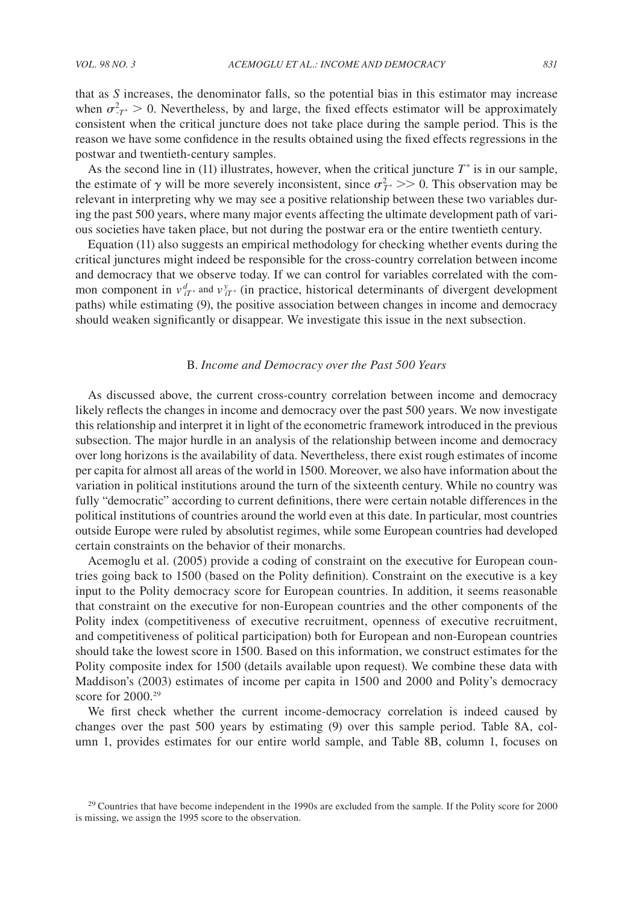that as *S* increases, the denominator falls, so the potential bias in this estimator may increase when  $\sigma_{\tau}^2 > 0$ . Nevertheless, by and large, the fixed effects estimator will be approximately consistent when the critical juncture does not take place during the sample period. This is the reason we have some confidence in the results obtained using the fixed effects regressions in the postwar and twentieth-century samples.

As the second line in (11) illustrates, however, when the critical juncture  $T^*$  is in our sample, the estimate of  $\gamma$  will be more severely inconsistent, since  $\sigma_{T^*}^2 >> 0$ . This observation may be relevant in interpreting why we may see a positive relationship between these two variables during the past 500 years, where many major events affecting the ultimate development path of various societies have taken place, but not during the postwar era or the entire twentieth century.

Equation (11) also suggests an empirical methodology for checking whether events during the critical junctures might indeed be responsible for the cross-country correlation between income and democracy that we observe today. If we can control for variables correlated with the common component in  $v_{iT}^d$  and  $v_{iT}^{\gamma}$  (in practice, historical determinants of divergent development paths) while estimating (9), the positive association between changes in income and democracy should weaken significantly or disappear. We investigate this issue in the next subsection.

## B. *Income and Democracy over the Past 500 Years*

As discussed above, the current cross-country correlation between income and democracy likely reflects the changes in income and democracy over the past 500 years. We now investigate this relationship and interpret it in light of the econometric framework introduced in the previous subsection. The major hurdle in an analysis of the relationship between income and democracy over long horizons is the availability of data. Nevertheless, there exist rough estimates of income per capita for almost all areas of the world in 1500. Moreover, we also have information about the variation in political institutions around the turn of the sixteenth century. While no country was fully "democratic" according to current definitions, there were certain notable differences in the political institutions of countries around the world even at this date. In particular, most countries outside Europe were ruled by absolutist regimes, while some European countries had developed certain constraints on the behavior of their monarchs.

Acemoglu et al. (2005) provide a coding of constraint on the executive for European countries going back to 1500 (based on the Polity definition). Constraint on the executive is a key input to the Polity democracy score for European countries. In addition, it seems reasonable that constraint on the executive for non-European countries and the other components of the Polity index (competitiveness of executive recruitment, openness of executive recruitment, and competitiveness of political participation) both for European and non-European countries should take the lowest score in 1500. Based on this information, we construct estimates for the Polity composite index for 1500 (details available upon request). We combine these data with Maddison's (2003) estimates of income per capita in 1500 and 2000 and Polity's democracy score for 2000.<sup>29</sup>

We first check whether the current income-democracy correlation is indeed caused by changes over the past 500 years by estimating (9) over this sample period. Table 8A, column 1, provides estimates for our entire world sample, and Table 8B, column 1, focuses on

 $29$  Countries that have become independent in the 1990s are excluded from the sample. If the Polity score for 2000 is missing, we assign the 1995 score to the observation.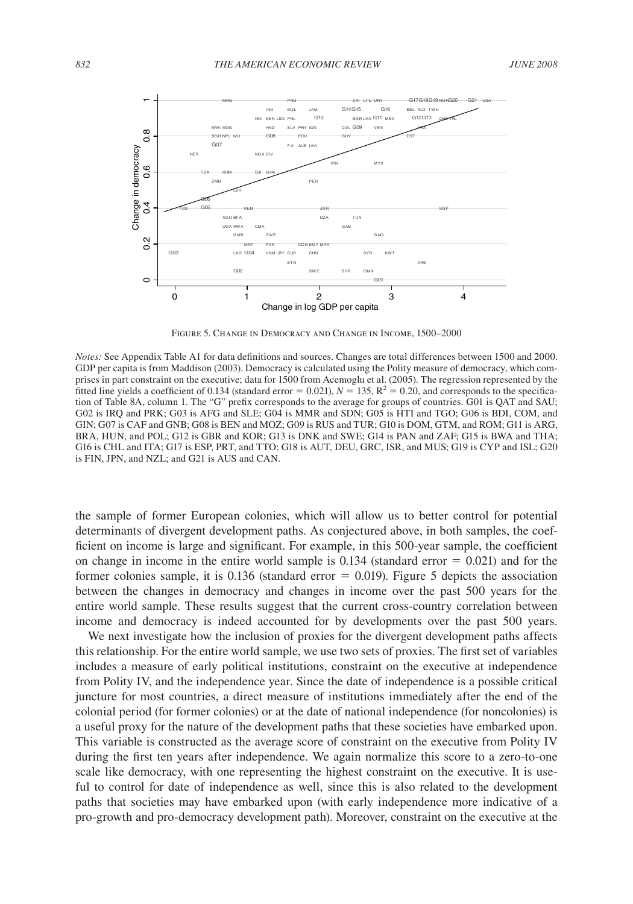

Figure 5. Change in Democracy and Change in Income, 1500–2000

*Notes:* See Appendix Table A1 for data definitions and sources. Changes are total differences between 1500 and 2000. GDP per capita is from Maddison (2003). Democracy is calculated using the Polity measure of democracy, which comprises in part constraint on the executive; data for 1500 from Acemoglu et al. (2005). The regression represented by the fitted line yields a coefficient of 0.134 (standard error = 0.021),  $N = 135$ ,  $R^2 = 0.20$ , and corresponds to the specification of Table 8A, column 1. The "G" prefix corresponds to the average for groups of countries. G01 is QAT and SAU; G02 is IRQ and PRK; G03 is AFG and SLE; G04 is MMR and SDN; G05 is HTI and TGO; G06 is BDI, COM, and GIN; G07 is CAF and GNB; G08 is BEN and MOZ; G09 is RUS and TUR; G10 is DOM, GTM, and ROM; G11 is ARG, BRA, HUN, and POL; G12 is GBR and KOR; G13 is DNK and SWE; G14 is PAN and ZAF; G15 is BWA and THA; G16 is CHL and ITA; G17 is ESP, PRT, and TTO; G18 is AUT, DEU, GRC, ISR, and MUS; G19 is CYP and ISL; G20 is FIN, JPN, and NZL; and G21 is AUS and CAN.

the sample of former European colonies, which will allow us to better control for potential determinants of divergent development paths. As conjectured above, in both samples, the coefficient on income is large and significant. For example, in this 500-year sample, the coefficient on change in income in the entire world sample is  $0.134$  (standard error  $= 0.021$ ) and for the former colonies sample, it is  $0.136$  (standard error = 0.019). Figure 5 depicts the association between the changes in democracy and changes in income over the past 500 years for the entire world sample. These results suggest that the current cross-country correlation between income and democracy is indeed accounted for by developments over the past 500 years.

We next investigate how the inclusion of proxies for the divergent development paths affects this relationship. For the entire world sample, we use two sets of proxies. The first set of variables includes a measure of early political institutions, constraint on the executive at independence from Polity IV, and the independence year. Since the date of independence is a possible critical juncture for most countries, a direct measure of institutions immediately after the end of the colonial period (for former colonies) or at the date of national independence (for noncolonies) is a useful proxy for the nature of the development paths that these societies have embarked upon. This variable is constructed as the average score of constraint on the executive from Polity IV during the first ten years after independence. We again normalize this score to a zero-to-one scale like democracy, with one representing the highest constraint on the executive. It is useful to control for date of independence as well, since this is also related to the development paths that societies may have embarked upon (with early independence more indicative of a pro-growth and pro-democracy development path). Moreover, constraint on the executive at the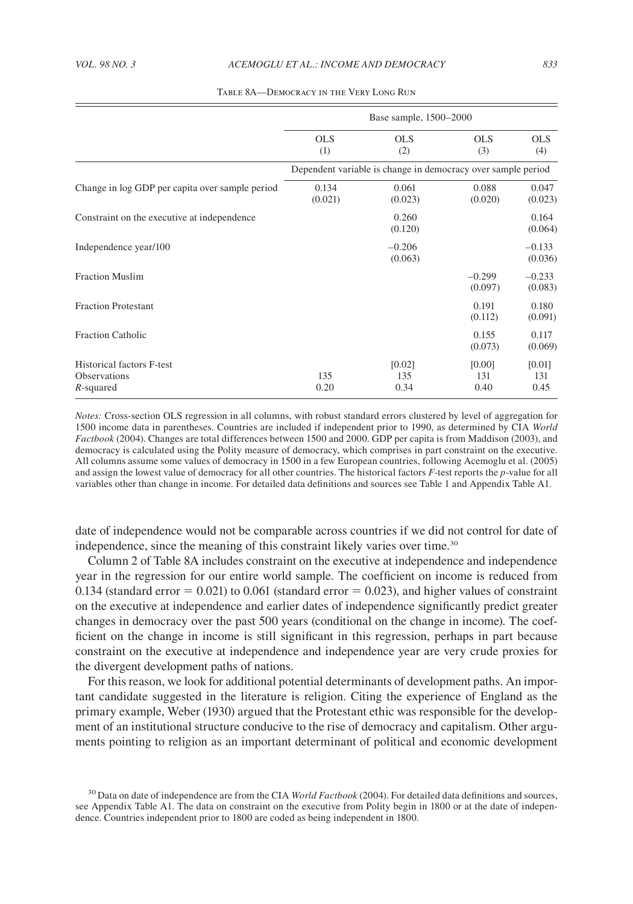|                                                               |                   | Base sample, 1500-2000                                       |                       |                       |
|---------------------------------------------------------------|-------------------|--------------------------------------------------------------|-----------------------|-----------------------|
|                                                               | <b>OLS</b><br>(1) | <b>OLS</b><br>(2)                                            | <b>OLS</b><br>(3)     | <b>OLS</b><br>(4)     |
|                                                               |                   | Dependent variable is change in democracy over sample period |                       |                       |
| Change in log GDP per capita over sample period               | 0.134<br>(0.021)  | 0.061<br>(0.023)                                             | 0.088<br>(0.020)      | 0.047<br>(0.023)      |
| Constraint on the executive at independence                   |                   | 0.260<br>(0.120)                                             |                       | 0.164<br>(0.064)      |
| Independence year/100                                         |                   | $-0.206$<br>(0.063)                                          |                       | $-0.133$<br>(0.036)   |
| <b>Fraction Muslim</b>                                        |                   |                                                              | $-0.299$<br>(0.097)   | $-0.233$<br>(0.083)   |
| <b>Fraction Protestant</b>                                    |                   |                                                              | 0.191<br>(0.112)      | 0.180<br>(0.091)      |
| <b>Fraction Catholic</b>                                      |                   |                                                              | 0.155<br>(0.073)      | 0.117<br>(0.069)      |
| Historical factors F-test<br><b>Observations</b><br>R-squared | 135<br>0.20       | [0.02]<br>135<br>0.34                                        | [0.00]<br>131<br>0.40 | [0.01]<br>131<br>0.45 |

#### TABLE 8A—DEMOCRACY IN THE VERY LONG RUN

*Notes:* Cross-section OLS regression in all columns, with robust standard errors clustered by level of aggregation for 1500 income data in parentheses. Countries are included if independent prior to 1990, as determined by CIA *World Factbook* (2004). Changes are total differences between 1500 and 2000. GDP per capita is from Maddison (2003), and democracy is calculated using the Polity measure of democracy, which comprises in part constraint on the executive. All columns assume some values of democracy in 1500 in a few European countries, following Acemoglu et al. (2005) and assign the lowest value of democracy for all other countries. The historical factors *F*-test reports the *p*-value for all variables other than change in income. For detailed data definitions and sources see Table 1 and Appendix Table A1.

date of independence would not be comparable across countries if we did not control for date of independence, since the meaning of this constraint likely varies over time.<sup>30</sup>

Column 2 of Table 8A includes constraint on the executive at independence and independence year in the regression for our entire world sample. The coefficient on income is reduced from 0.134 (standard error =  $0.021$ ) to 0.061 (standard error = 0.023), and higher values of constraint on the executive at independence and earlier dates of independence significantly predict greater changes in democracy over the past 500 years (conditional on the change in income). The coefficient on the change in income is still significant in this regression, perhaps in part because constraint on the executive at independence and independence year are very crude proxies for the divergent development paths of nations.

For this reason, we look for additional potential determinants of development paths. An important candidate suggested in the literature is religion. Citing the experience of England as the primary example, Weber (1930) argued that the Protestant ethic was responsible for the development of an institutional structure conducive to the rise of democracy and capitalism. Other arguments pointing to religion as an important determinant of political and economic development

<sup>30</sup> Data on date of independence are from the CIA *World Factbook* (2004). For detailed data definitions and sources, see Appendix Table A1. The data on constraint on the executive from Polity begin in 1800 or at the date of independence. Countries independent prior to 1800 are coded as being independent in 1800.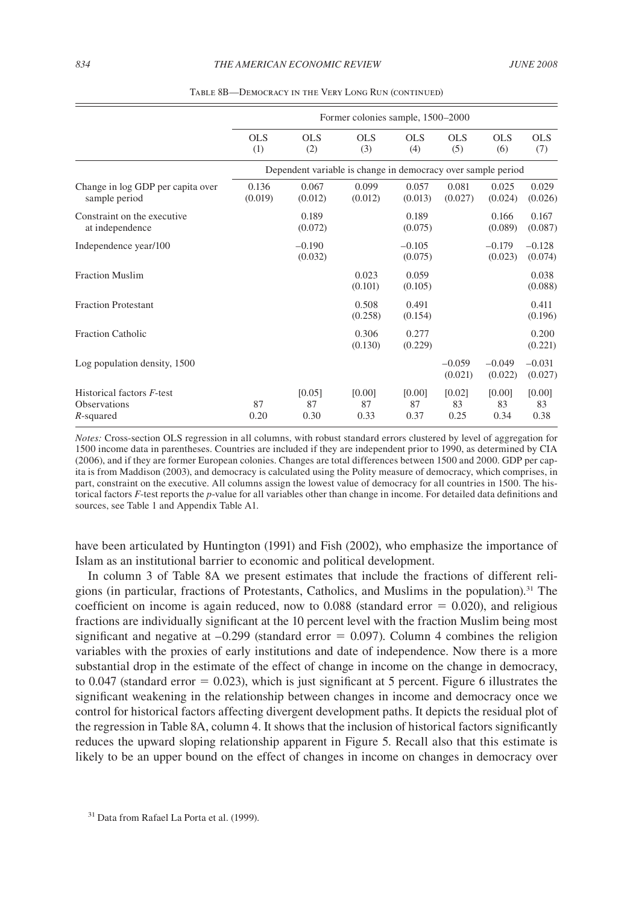|                                                               | Former colonies sample, 1500-2000 |                                                              |                      |                      |                      |                      |                      |
|---------------------------------------------------------------|-----------------------------------|--------------------------------------------------------------|----------------------|----------------------|----------------------|----------------------|----------------------|
|                                                               | <b>OLS</b><br>(1)                 | OL S<br>(2)                                                  | <b>OLS</b><br>(3)    | OLS.<br>(4)          | OL S<br>(5)          | <b>OLS</b><br>(6)    | <b>OLS</b><br>(7)    |
|                                                               |                                   | Dependent variable is change in democracy over sample period |                      |                      |                      |                      |                      |
| Change in log GDP per capita over<br>sample period            | 0.136<br>(0.019)                  | 0.067<br>(0.012)                                             | 0.099<br>(0.012)     | 0.057<br>(0.013)     | 0.081<br>(0.027)     | 0.025<br>(0.024)     | 0.029<br>(0.026)     |
| Constraint on the executive<br>at independence                |                                   | 0.189<br>(0.072)                                             |                      | 0.189<br>(0.075)     |                      | 0.166<br>(0.089)     | 0.167<br>(0.087)     |
| Independence year/100                                         |                                   | $-0.190$<br>(0.032)                                          |                      | $-0.105$<br>(0.075)  |                      | $-0.179$<br>(0.023)  | $-0.128$<br>(0.074)  |
| <b>Fraction Muslim</b>                                        |                                   |                                                              | 0.023<br>(0.101)     | 0.059<br>(0.105)     |                      |                      | 0.038<br>(0.088)     |
| <b>Fraction Protestant</b>                                    |                                   |                                                              | 0.508<br>(0.258)     | 0.491<br>(0.154)     |                      |                      | 0.411<br>(0.196)     |
| <b>Fraction Catholic</b>                                      |                                   |                                                              | 0.306<br>(0.130)     | 0.277<br>(0.229)     |                      |                      | 0.200<br>(0.221)     |
| Log population density, 1500                                  |                                   |                                                              |                      |                      | $-0.059$<br>(0.021)  | $-0.049$<br>(0.022)  | $-0.031$<br>(0.027)  |
| Historical factors F-test<br><b>Observations</b><br>R-squared | 87<br>0.20                        | [0.05]<br>87<br>0.30                                         | [0.00]<br>87<br>0.33 | [0.00]<br>87<br>0.37 | [0.02]<br>83<br>0.25 | [0.00]<br>83<br>0.34 | [0.00]<br>83<br>0.38 |

| TABLE 8B—DEMOCRACY IN THE VERY LONG RUN (CONTINUED) |  |  |
|-----------------------------------------------------|--|--|
|-----------------------------------------------------|--|--|

*Notes:* Cross-section OLS regression in all columns, with robust standard errors clustered by level of aggregation for 1500 income data in parentheses. Countries are included if they are independent prior to 1990, as determined by CIA (2006), and if they are former European colonies. Changes are total differences between 1500 and 2000. GDP per capita is from Maddison (2003), and democracy is calculated using the Polity measure of democracy, which comprises, in part, constraint on the executive. All columns assign the lowest value of democracy for all countries in 1500. The historical factors *F*-test reports the *p*-value for all variables other than change in income. For detailed data definitions and sources, see Table 1 and Appendix Table A1.

have been articulated by Huntington (1991) and Fish (2002), who emphasize the importance of Islam as an institutional barrier to economic and political development.

In column 3 of Table 8A we present estimates that include the fractions of different religions (in particular, fractions of Protestants, Catholics, and Muslims in the population).31 The coefficient on income is again reduced, now to  $0.088$  (standard error  $= 0.020$ ), and religious fractions are individually significant at the 10 percent level with the fraction Muslim being most significant and negative at  $-0.299$  (standard error = 0.097). Column 4 combines the religion variables with the proxies of early institutions and date of independence. Now there is a more substantial drop in the estimate of the effect of change in income on the change in democracy, to 0.047 (standard error  $= 0.023$ ), which is just significant at 5 percent. Figure 6 illustrates the significant weakening in the relationship between changes in income and democracy once we control for historical factors affecting divergent development paths. It depicts the residual plot of the regression in Table 8A, column 4. It shows that the inclusion of historical factors significantly reduces the upward sloping relationship apparent in Figure 5. Recall also that this estimate is likely to be an upper bound on the effect of changes in income on changes in democracy over

<sup>&</sup>lt;sup>31</sup> Data from Rafael La Porta et al. (1999).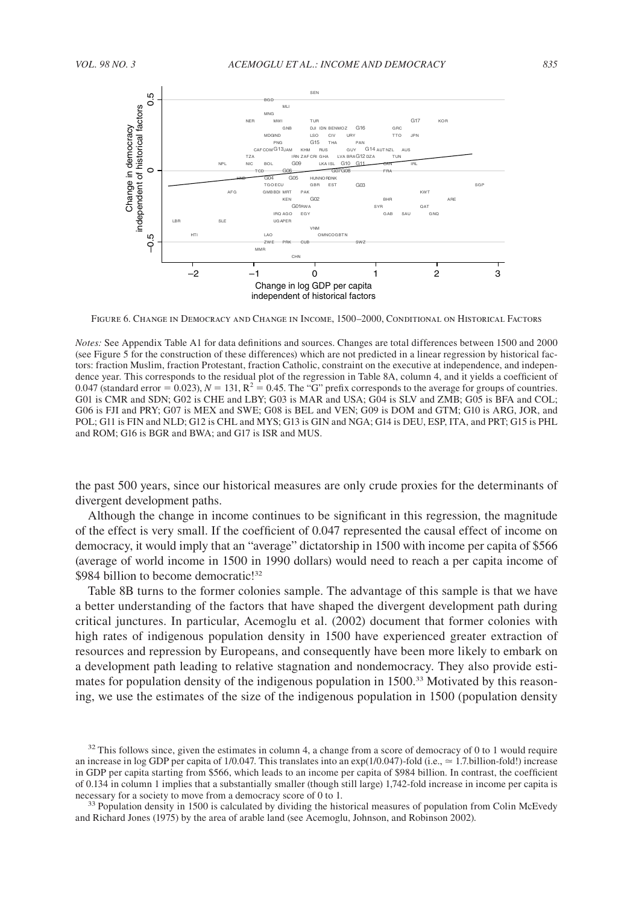

Figure 6. Change in Democracy and Change in Income, 1500–2000, Conditional on Historical Factors

*Notes:* See Appendix Table A1 for data definitions and sources. Changes are total differences between 1500 and 2000 (see Figure 5 for the construction of these differences) which are not predicted in a linear regression by historical factors: fraction Muslim, fraction Protestant, fraction Catholic, constraint on the executive at independence, and independence year. This corresponds to the residual plot of the regression in Table 8A, column 4, and it yields a coefficient of 0.047 (standard error = 0.023),  $N = 131$ ,  $R^2 = 0.45$ . The "G" prefix corresponds to the average for groups of countries. G01 is CMR and SDN; G02 is CHE and LBY; G03 is MAR and USA; G04 is SLV and ZMB; G05 is BFA and COL; G06 is FJI and PRY; G07 is MEX and SWE; G08 is BEL and VEN; G09 is DOM and GTM; G10 is ARG, JOR, and POL; G11 is FIN and NLD; G12 is CHL and MYS; G13 is GIN and NGA; G14 is DEU, ESP, ITA, and PRT; G15 is PHL and ROM; G16 is BGR and BWA; and G17 is ISR and MUS.

the past 500 years, since our historical measures are only crude proxies for the determinants of divergent development paths.

Although the change in income continues to be significant in this regression, the magnitude of the effect is very small. If the coefficient of 0.047 represented the causal effect of income on democracy, it would imply that an "average" dictatorship in 1500 with income per capita of \$566 (average of world income in 1500 in 1990 dollars) would need to reach a per capita income of \$984 billion to become democratic!<sup>32</sup>

Table 8B turns to the former colonies sample. The advantage of this sample is that we have a better understanding of the factors that have shaped the divergent development path during critical junctures. In particular, Acemoglu et al. (2002) document that former colonies with high rates of indigenous population density in 1500 have experienced greater extraction of resources and repression by Europeans, and consequently have been more likely to embark on a development path leading to relative stagnation and nondemocracy. They also provide estimates for population density of the indigenous population in 1500.<sup>33</sup> Motivated by this reasoning, we use the estimates of the size of the indigenous population in 1500 (population density

 $32$  This follows since, given the estimates in column 4, a change from a score of democracy of 0 to 1 would require an increase in log GDP per capita of 1/0.047. This translates into an  $exp(1/0.047)$ -fold (i.e.,  $\simeq$  1.7.billion-fold!) increase in GDP per capita starting from \$566, which leads to an income per capita of \$984 billion. In contrast, the coefficient of 0.134 in column 1 implies that a substantially smaller (though still large) 1,742-fold increase in income per capita is necessary for a society to move from a democracy score of 0 to 1.<br> $33$  Population density in 1500 is calculated by dividing the historical measures of population from Colin McEvedy

and Richard Jones (1975) by the area of arable land (see Acemoglu, Johnson, and Robinson 2002).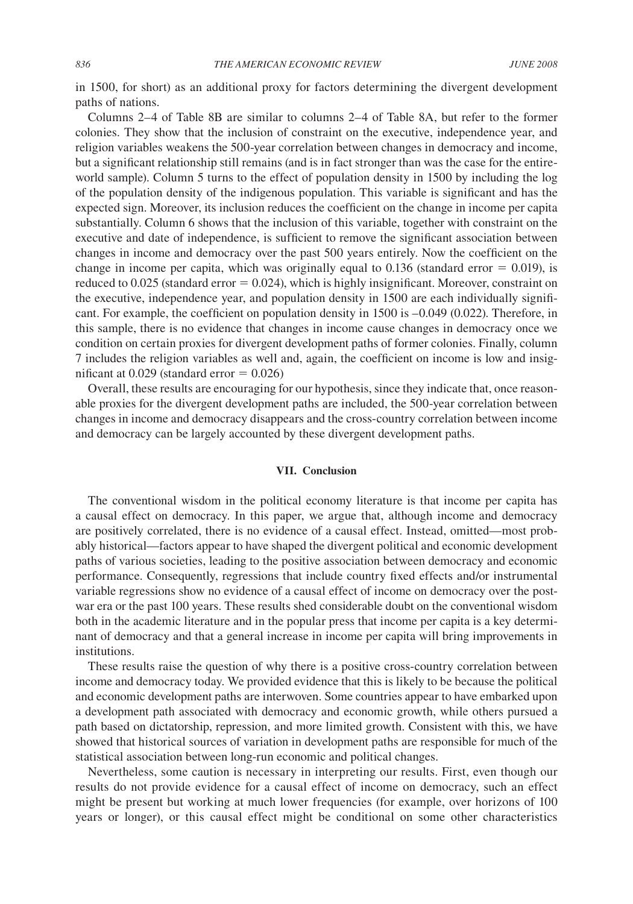in 1500, for short) as an additional proxy for factors determining the divergent development paths of nations.

Columns 2–4 of Table 8B are similar to columns 2–4 of Table 8A, but refer to the former colonies. They show that the inclusion of constraint on the executive, independence year, and religion variables weakens the 500-year correlation between changes in democracy and income, but a significant relationship still remains (and is in fact stronger than was the case for the entireworld sample). Column 5 turns to the effect of population density in 1500 by including the log of the population density of the indigenous population. This variable is significant and has the expected sign. Moreover, its inclusion reduces the coefficient on the change in income per capita substantially. Column 6 shows that the inclusion of this variable, together with constraint on the executive and date of independence, is sufficient to remove the significant association between changes in income and democracy over the past 500 years entirely. Now the coefficient on the change in income per capita, which was originally equal to  $0.136$  (standard error = 0.019), is reduced to 0.025 (standard error  $= 0.024$ ), which is highly insignificant. Moreover, constraint on the executive, independence year, and population density in 1500 are each individually significant. For example, the coefficient on population density in 1500 is –0.049 (0.022). Therefore, in this sample, there is no evidence that changes in income cause changes in democracy once we condition on certain proxies for divergent development paths of former colonies. Finally, column 7 includes the religion variables as well and, again, the coefficient on income is low and insignificant at  $0.029$  (standard error =  $0.026$ )

Overall, these results are encouraging for our hypothesis, since they indicate that, once reasonable proxies for the divergent development paths are included, the 500-year correlation between changes in income and democracy disappears and the cross-country correlation between income and democracy can be largely accounted by these divergent development paths.

#### **VII. Conclusion**

The conventional wisdom in the political economy literature is that income per capita has a causal effect on democracy. In this paper, we argue that, although income and democracy are positively correlated, there is no evidence of a causal effect. Instead, omitted—most probably historical—factors appear to have shaped the divergent political and economic development paths of various societies, leading to the positive association between democracy and economic performance. Consequently, regressions that include country fixed effects and/or instrumental variable regressions show no evidence of a causal effect of income on democracy over the postwar era or the past 100 years. These results shed considerable doubt on the conventional wisdom both in the academic literature and in the popular press that income per capita is a key determinant of democracy and that a general increase in income per capita will bring improvements in institutions.

These results raise the question of why there is a positive cross-country correlation between income and democracy today. We provided evidence that this is likely to be because the political and economic development paths are interwoven. Some countries appear to have embarked upon a development path associated with democracy and economic growth, while others pursued a path based on dictatorship, repression, and more limited growth. Consistent with this, we have showed that historical sources of variation in development paths are responsible for much of the statistical association between long-run economic and political changes.

Nevertheless, some caution is necessary in interpreting our results. First, even though our results do not provide evidence for a causal effect of income on democracy, such an effect might be present but working at much lower frequencies (for example, over horizons of 100 years or longer), or this causal effect might be conditional on some other characteristics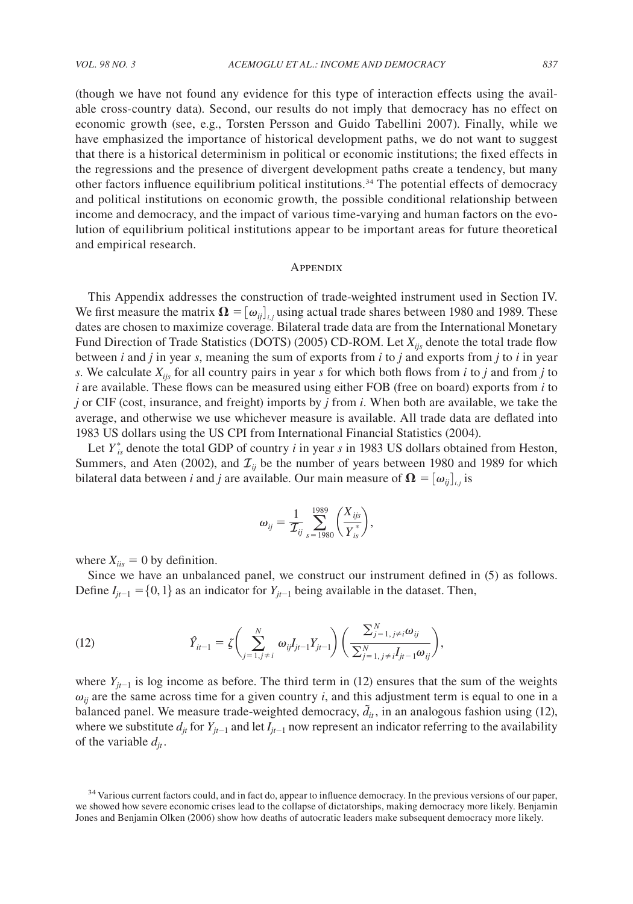(though we have not found any evidence for this type of interaction effects using the available cross-country data). Second, our results do not imply that democracy has no effect on economic growth (see, e.g., Torsten Persson and Guido Tabellini 2007). Finally, while we have emphasized the importance of historical development paths, we do not want to suggest that there is a historical determinism in political or economic institutions; the fixed effects in the regressions and the presence of divergent development paths create a tendency, but many other factors influence equilibrium political institutions.34 The potential effects of democracy and political institutions on economic growth, the possible conditional relationship between income and democracy, and the impact of various time-varying and human factors on the evolution of equilibrium political institutions appear to be important areas for future theoretical and empirical research.

#### **APPENDIX**

This Appendix addresses the construction of trade-weighted instrument used in Section IV. We first measure the matrix  $\mathbf{\Omega} = [\omega_{ij}]_{i,j}$  using actual trade shares between 1980 and 1989. These dates are chosen to maximize coverage. Bilateral trade data are from the International Monetary Fund Direction of Trade Statistics (DOTS) (2005) CD-ROM. Let *Xijs* denote the total trade flow between *i* and *j* in year *s*, meaning the sum of exports from *i* to *j* and exports from *j* to *i* in year *s*. We calculate *Xijs* for all country pairs in year *s* for which both flows from *i* to *j* and from *j* to *i* are available. These flows can be measured using either FOB (free on board) exports from *i* to *j* or CIF (cost, insurance, and freight) imports by *j* from *i*. When both are available, we take the average, and otherwise we use whichever measure is available. All trade data are deflated into 1983 US dollars using the US CPI from International Financial Statistics (2004).

Let *Y*\* *is* denote the total GDP of country *i* in year *s* in 1983 US dollars obtained from Heston, Summers, and Aten (2002), and  $\mathcal{I}_{ij}$  be the number of years between 1980 and 1989 for which bilateral data between *i* and *j* are available. Our main measure of  $\mathbf{\Omega} = [\omega_{ij}]_{_{i,j}}$  is

$$
\omega_{ij} = \frac{1}{\mathcal{I}_{ij}} \sum_{s=1980}^{1989} {\frac{X_{ijs}}{Y_{is}^*}} ,
$$

where  $X_{iis} = 0$  by definition.

Since we have an unbalanced panel, we construct our instrument defined in (5) as follows. Define  $I_{jt-1} = \{0, 1\}$  as an indicator for  $Y_{jt-1}$  being available in the dataset. Then,

(12) 
$$
\hat{Y}_{it-1} = \zeta \left( \sum_{j=1, j \neq i}^{N} \omega_{ij} I_{jt-1} Y_{jt-1} \right) \left( \frac{\sum_{j=1, j \neq i}^{N} \omega_{ij}}{\sum_{j=1, j \neq i}^{N} I_{jt-1} \omega_{ij}} \right),
$$

where  $Y_{jt-1}$  is log income as before. The third term in (12) ensures that the sum of the weights  $\omega_{ij}$  are the same across time for a given country *i*, and this adjustment term is equal to one in a balanced panel. We measure trade-weighted democracy,  $\tilde{d}_{it}$ , in an analogous fashion using (12), where we substitute  $d_{jt}$  for  $Y_{jt-1}$  and let  $I_{jt-1}$  now represent an indicator referring to the availability of the variable  $d_{it}$ .

<sup>&</sup>lt;sup>34</sup> Various current factors could, and in fact do, appear to influence democracy. In the previous versions of our paper, we showed how severe economic crises lead to the collapse of dictatorships, making democracy more likely. Benjamin Jones and Benjamin Olken (2006) show how deaths of autocratic leaders make subsequent democracy more likely.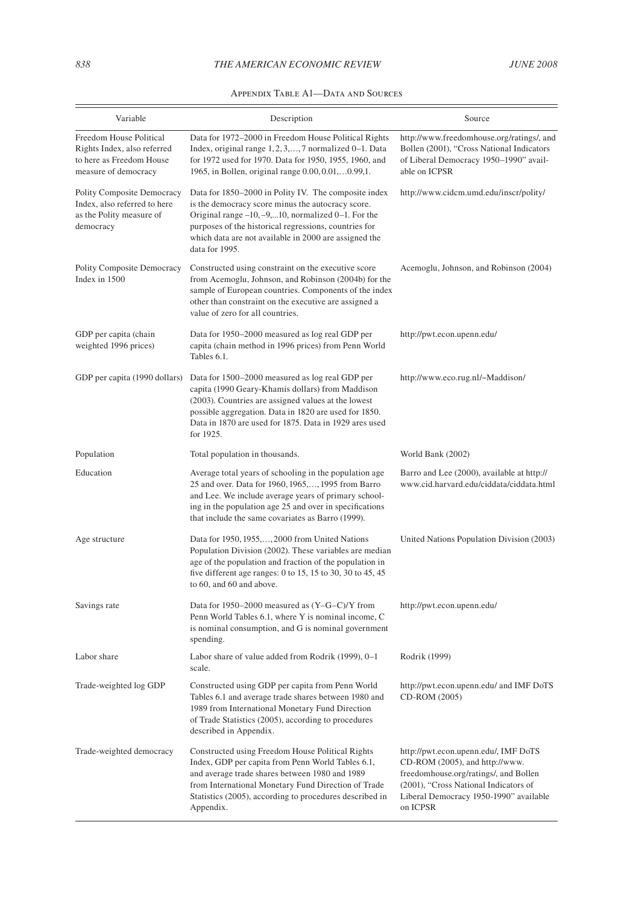## Appendix Table A1—Data and Sources

| Variable                                                                                                   | Description                                                                                                                                                                                                                                                                                         | Source                                                                                                                                                                                                         |
|------------------------------------------------------------------------------------------------------------|-----------------------------------------------------------------------------------------------------------------------------------------------------------------------------------------------------------------------------------------------------------------------------------------------------|----------------------------------------------------------------------------------------------------------------------------------------------------------------------------------------------------------------|
| Freedom House Political<br>Rights Index, also referred<br>to here as Freedom House<br>measure of democracy | Data for 1972-2000 in Freedom House Political Rights<br>Index, original range 1, 2, 3, , 7 normalized 0-1. Data<br>for 1972 used for 1970. Data for 1950, 1955, 1960, and<br>1965, in Bollen, original range 0.00, 0.01,  0.99, 1.                                                                  | http://www.freedomhouse.org/ratings/, and<br>Bollen (2001), "Cross National Indicators<br>of Liberal Democracy 1950-1990" avail-<br>able on ICPSR                                                              |
| Polity Composite Democracy<br>Index, also referred to here<br>as the Polity measure of<br>democracy        | Data for 1850–2000 in Polity IV. The composite index<br>is the democracy score minus the autocracy score.<br>Original range -10, -9,10, normalized 0-1. For the<br>purposes of the historical regressions, countries for<br>which data are not available in 2000 are assigned the<br>data for 1995. | http://www.cidcm.umd.edu/inscr/polity/                                                                                                                                                                         |
| Polity Composite Democracy<br>Index in 1500                                                                | Constructed using constraint on the executive score<br>from Acemoglu, Johnson, and Robinson (2004b) for the<br>sample of European countries. Components of the index<br>other than constraint on the executive are assigned a<br>value of zero for all countries.                                   | Acemoglu, Johnson, and Robinson (2004)                                                                                                                                                                         |
| GDP per capita (chain<br>weighted 1996 prices)                                                             | Data for 1950–2000 measured as log real GDP per<br>capita (chain method in 1996 prices) from Penn World<br>Tables 6.1.                                                                                                                                                                              | http://pwt.econ.upenn.edu/                                                                                                                                                                                     |
| GDP per capita (1990 dollars)                                                                              | Data for 1500–2000 measured as log real GDP per<br>capita (1990 Geary-Khamis dollars) from Maddison<br>(2003). Countries are assigned values at the lowest<br>possible aggregation. Data in 1820 are used for 1850.<br>Data in 1870 are used for 1875. Data in 1929 ares used<br>for 1925.          | http://www.eco.rug.nl/~Maddison/                                                                                                                                                                               |
| Population                                                                                                 | Total population in thousands.                                                                                                                                                                                                                                                                      | World Bank (2002)                                                                                                                                                                                              |
| Education                                                                                                  | Average total years of schooling in the population age.<br>25 and over. Data for 1960, 1965,, 1995 from Barro<br>and Lee. We include average years of primary school-<br>ing in the population age 25 and over in specifications<br>that include the same covariates as Barro (1999).               | Barro and Lee (2000), available at http://<br>www.cid.harvard.edu/ciddata/ciddata.html                                                                                                                         |
| Age structure                                                                                              | Data for 1950, 1955, , 2000 from United Nations<br>Population Division (2002). These variables are median<br>age of the population and fraction of the population in<br>five different age ranges: 0 to 15, 15 to 30, 30 to 45, 45<br>to 60, and 60 and above.                                      | United Nations Population Division (2003)                                                                                                                                                                      |
| Savings rate                                                                                               | Data for 1950–2000 measured as (Y–G–C)/Y from<br>Penn World Tables 6.1, where Y is nominal income, C<br>is nominal consumption, and G is nominal government<br>spending.                                                                                                                            | http://pwt.econ.upenn.edu/                                                                                                                                                                                     |
| Labor share                                                                                                | Labor share of value added from Rodrik (1999), 0-1<br>scale.                                                                                                                                                                                                                                        | Rodrik (1999)                                                                                                                                                                                                  |
| Trade-weighted log GDP                                                                                     | Constructed using GDP per capita from Penn World<br>Tables 6.1 and average trade shares between 1980 and<br>1989 from International Monetary Fund Direction<br>of Trade Statistics (2005), according to procedures<br>described in Appendix.                                                        | http://pwt.econ.upenn.edu/ and IMF DoTS<br>CD-ROM (2005)                                                                                                                                                       |
| Trade-weighted democracy                                                                                   | Constructed using Freedom House Political Rights<br>Index, GDP per capita from Penn World Tables 6.1,<br>and average trade shares between 1980 and 1989<br>from International Monetary Fund Direction of Trade<br>Statistics (2005), according to procedures described in<br>Appendix.              | http://pwt.econ.upenn.edu/, IMF DoTS<br>CD-ROM (2005), and http://www.<br>freedomhouse.org/ratings/, and Bollen<br>(2001), "Cross National Indicators of<br>Liberal Democracy 1950-1990" available<br>on ICPSR |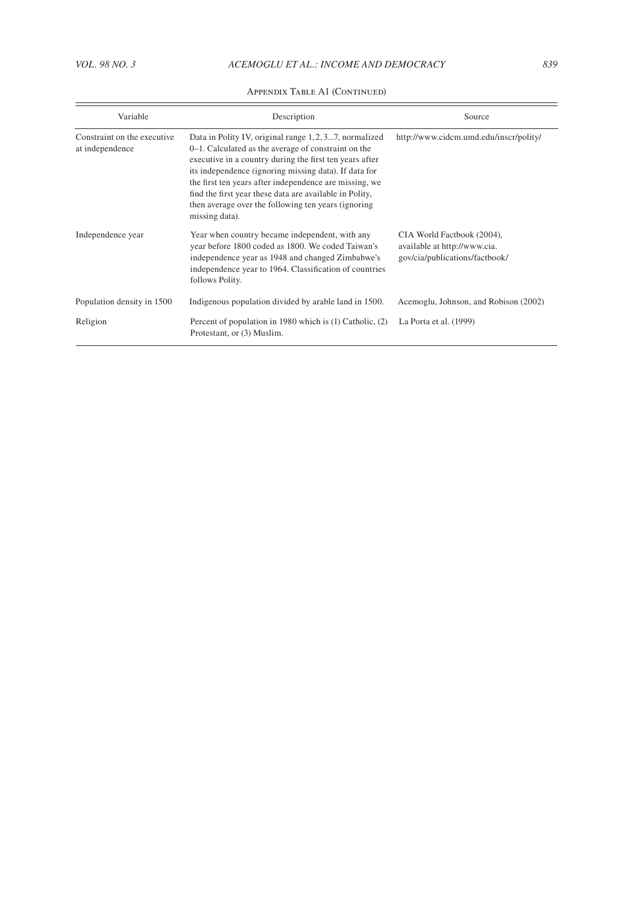## Appendix Table A1 (Continued)

| Variable                                       | Description                                                                                                                                                                                                                                                                                                                                                                                                                      | Source                                                                                       |
|------------------------------------------------|----------------------------------------------------------------------------------------------------------------------------------------------------------------------------------------------------------------------------------------------------------------------------------------------------------------------------------------------------------------------------------------------------------------------------------|----------------------------------------------------------------------------------------------|
| Constraint on the executive<br>at independence | Data in Polity IV, original range 1, 2, 37, normalized<br>0–1. Calculated as the average of constraint on the<br>executive in a country during the first ten years after<br>its independence (ignoring missing data). If data for<br>the first ten years after independence are missing, we<br>find the first year these data are available in Polity,<br>then average over the following ten years (ignoring)<br>missing data). | http://www.cidcm.umd.edu/inscr/polity/                                                       |
| Independence year                              | Year when country became independent, with any<br>year before 1800 coded as 1800. We coded Taiwan's<br>independence year as 1948 and changed Zimbabwe's<br>independence year to 1964. Classification of countries<br>follows Polity.                                                                                                                                                                                             | CIA World Factbook (2004),<br>available at http://www.cia.<br>gov/cia/publications/factbook/ |
| Population density in 1500                     | Indigenous population divided by arable land in 1500.                                                                                                                                                                                                                                                                                                                                                                            | Acemoglu, Johnson, and Robison (2002)                                                        |
| Religion                                       | Percent of population in 1980 which is (1) Catholic, (2)<br>Protestant, or (3) Muslim.                                                                                                                                                                                                                                                                                                                                           | La Porta et al. $(1999)$                                                                     |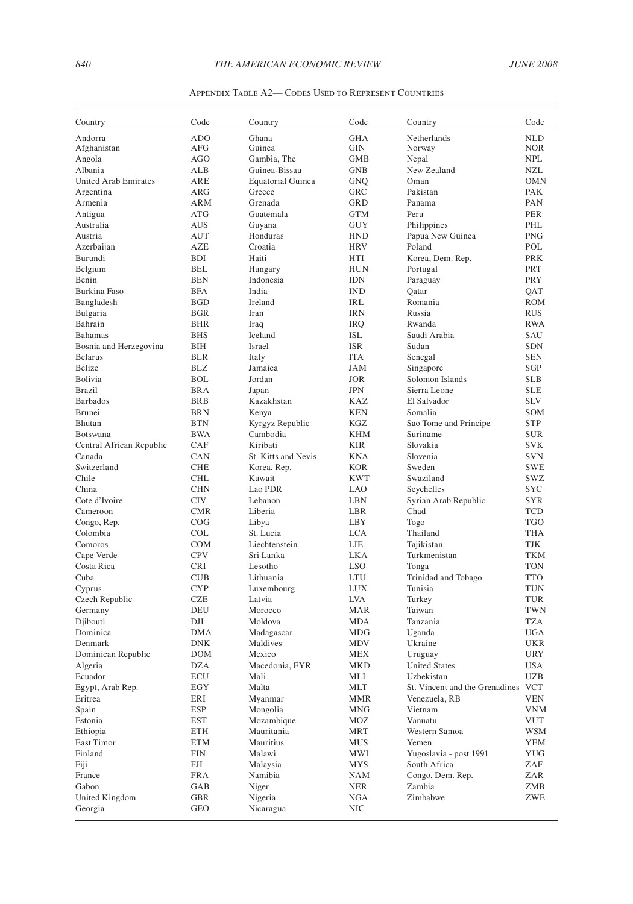## Appendix Table A2— Codes Used to Represent Countries

| Country                            | Code       | Country                  | Code              | Country                            | Code       |
|------------------------------------|------------|--------------------------|-------------------|------------------------------------|------------|
| Andorra                            | <b>ADO</b> | Ghana                    | <b>GHA</b>        | Netherlands                        | <b>NLD</b> |
| Afghanistan                        | <b>AFG</b> | Guinea                   | GIN               | Norway                             | <b>NOR</b> |
| Angola                             | AGO        | Gambia, The              | <b>GMB</b>        | Nepal                              | NPL        |
| Albania                            | ALB        | Guinea-Bissau            | GNB               | New Zealand                        | NZL        |
| <b>United Arab Emirates</b>        | ARE        | <b>Equatorial Guinea</b> | <b>GNQ</b>        | Oman                               | <b>OMN</b> |
| Argentina                          | ARG        | Greece                   | GRC               | Pakistan                           | <b>PAK</b> |
| Armenia                            | ARM        | Grenada                  | GRD               | Panama                             | PAN        |
| Antigua                            | <b>ATG</b> | Guatemala                | <b>GTM</b>        | Peru                               | PER        |
| Australia                          | <b>AUS</b> | Guyana                   | GUY               | Philippines                        | PHL        |
| Austria                            | <b>AUT</b> | Honduras                 | <b>HND</b>        | Papua New Guinea                   | <b>PNG</b> |
| Azerbaijan                         | <b>AZE</b> | Croatia                  | <b>HRV</b>        | Poland                             | POL        |
| Burundi                            | <b>BDI</b> | Haiti                    | HTI               | Korea, Dem. Rep.                   | <b>PRK</b> |
| Belgium                            | <b>BEL</b> | Hungary                  | <b>HUN</b>        | Portugal                           | <b>PRT</b> |
| Benin                              | <b>BEN</b> | Indonesia                | IDN               | Paraguay                           | PRY        |
| Burkina Faso                       | <b>BFA</b> | India                    | <b>IND</b>        | Oatar                              | QAT        |
| Bangladesh                         | <b>BGD</b> | Ireland                  | IRL               | Romania                            | <b>ROM</b> |
| Bulgaria                           | <b>BGR</b> | Iran                     | IRN               | Russia                             | <b>RUS</b> |
| Bahrain                            | <b>BHR</b> | Iraq                     | IRQ               | Rwanda                             | <b>RWA</b> |
| Bahamas                            | <b>BHS</b> | Iceland                  | <b>ISL</b>        | Saudi Arabia                       | SAU        |
| Bosnia and Herzegovina             | BIH        | Israel                   | <b>ISR</b>        | Sudan                              | <b>SDN</b> |
| Belarus                            | <b>BLR</b> | Italy                    | <b>ITA</b>        | Senegal                            | <b>SEN</b> |
| Belize                             | <b>BLZ</b> | Jamaica                  | JAM               | Singapore                          | SGP        |
| Bolivia                            | <b>BOL</b> | Jordan                   | JOR               | Solomon Islands                    | <b>SLB</b> |
| Brazil                             | <b>BRA</b> | Japan                    | JPN               | Sierra Leone                       | <b>SLE</b> |
| <b>Barbados</b>                    | <b>BRB</b> | Kazakhstan               | <b>KAZ</b>        | El Salvador                        | <b>SLV</b> |
| Brunei<br><b>Bhutan</b>            | <b>BRN</b> | Kenya                    | <b>KEN</b>        | Somalia                            | SOM        |
|                                    | <b>BTN</b> | Kyrgyz Republic          | KGZ               | Sao Tome and Principe              | <b>STP</b> |
| <b>Botswana</b>                    | <b>BWA</b> | Cambodia<br>Kiribati     | <b>KHM</b>        | Suriname<br>Slovakia               | <b>SUR</b> |
| Central African Republic<br>Canada | CAF<br>CAN | St. Kitts and Nevis      | <b>KIR</b><br>KNA | Slovenia                           | SVK<br>SVN |
| Switzerland                        | <b>CHE</b> |                          | <b>KOR</b>        | Sweden                             | SWE        |
| Chile                              | <b>CHL</b> | Korea, Rep.<br>Kuwait    | <b>KWT</b>        | Swaziland                          | SWZ        |
| China                              | <b>CHN</b> | Lao PDR                  | LAO               | Seychelles                         | SYC        |
| Cote d'Ivoire                      | <b>CIV</b> | Lebanon                  | <b>LBN</b>        | Syrian Arab Republic               | SYR        |
| Cameroon                           | <b>CMR</b> | Liberia                  | LBR               | Chad                               | TCD        |
| Congo, Rep.                        | COG        | Libya                    | LBY               | Togo                               | <b>TGO</b> |
| Colombia                           | COL        | St. Lucia                | <b>LCA</b>        | Thailand                           | <b>THA</b> |
| Comoros                            | <b>COM</b> | Liechtenstein            | LIE               | Tajikistan                         | TJK        |
| Cape Verde                         | <b>CPV</b> | Sri Lanka                | <b>LKA</b>        | Turkmenistan                       | <b>TKM</b> |
| Costa Rica                         | <b>CRI</b> | Lesotho                  | LSO               | Tonga                              | <b>TON</b> |
| Cuba                               | <b>CUB</b> | Lithuania                | <b>LTU</b>        | Trinidad and Tobago                | <b>TTO</b> |
| Cyprus                             | <b>CYP</b> | Luxembourg               | LUX               | Tunisia                            | TUN        |
| Czech Republic                     | <b>CZE</b> | Latvia                   | <b>LVA</b>        | Turkey                             | TUR        |
| Germany                            | DEU        | Morocco                  | <b>MAR</b>        | Taiwan                             | <b>TWN</b> |
| Djibouti                           | DJI        | Moldova                  | MDA               | Tanzania                           | <b>TZA</b> |
| Dominica                           | <b>DMA</b> | Madagascar               | MDG               | Uganda                             | <b>UGA</b> |
| Denmark                            | <b>DNK</b> | Maldives                 | MDV               | Ukraine                            | UKR        |
| Dominican Republic                 | <b>DOM</b> | Mexico                   | MEX               | Uruguay                            | <b>URY</b> |
| Algeria                            | <b>DZA</b> | Macedonia, FYR           | MKD               | <b>United States</b>               | USA        |
| Ecuador                            | ECU        | Mali                     | MLI               | Uzbekistan                         | UZB        |
| Egypt, Arab Rep.                   | EGY        | Malta                    | <b>MLT</b>        | St. Vincent and the Grenadines VCT |            |
| Eritrea                            | ERI        | Myanmar                  | <b>MMR</b>        | Venezuela, RB                      | <b>VEN</b> |
| Spain                              | ESP        | Mongolia                 | MNG               | Vietnam                            | <b>VNM</b> |
| Estonia                            | EST        | Mozambique               | MOZ               | Vanuatu                            | VUT        |
| Ethiopia                           | ETH        | Mauritania               | MRT               | Western Samoa                      | WSM        |
| East Timor                         | <b>ETM</b> | Mauritius                | MUS               | Yemen                              | YEM        |
| Finland                            | <b>FIN</b> | Malawi                   | MWI               | Yugoslavia - post 1991             | YUG        |
| Fiji                               | FJI        | Malaysia                 | MYS               | South Africa                       | ZAF        |
| France                             | <b>FRA</b> | Namibia                  | NAM               | Congo, Dem. Rep.                   | ZAR        |
| Gabon                              | GAB        | Niger                    | <b>NER</b>        | Zambia                             | ZMB        |
| United Kingdom                     | GBR        | Nigeria                  | <b>NGA</b>        | Zimbabwe                           | ZWE        |
| Georgia                            | GEO        | Nicaragua                | NIC               |                                    |            |
|                                    |            |                          |                   |                                    |            |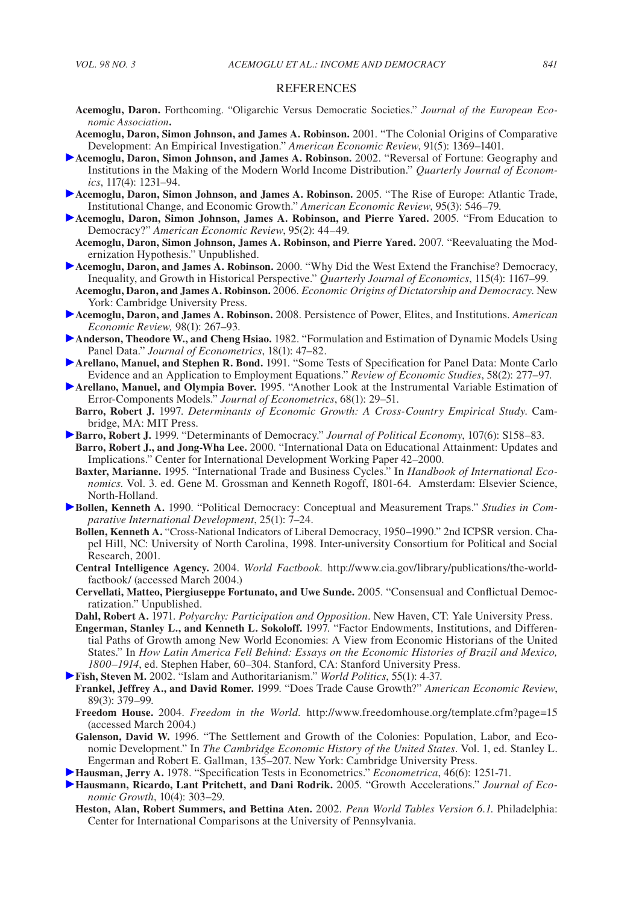## **REFERENCES**

- **Acemoglu, Daron.** Forthcoming. "Oligarchic Versus Democratic Societies." *Journal of the European Economic Association***.**
- **Acemoglu, Daron, Simon Johnson, and James A. Robinson.** 2001. "The Colonial Origins of Comparative Development: An Empirical Investigation." *American Economic Review*, 91(5): 1369–1401.
- **Acemoglu, Daron, Simon Johnson, and James A. Robinson.** 2002. "Reversal of Fortune: Geography and Institutions in the Making of the Modern World Income Distribution." *Quarterly Journal of Economics*, 117(4): 1231–94.
- **Acemoglu, Daron, Simon Johnson, and James A. Robinson.** 2005. "The Rise of Europe: Atlantic Trade, Institutional Change, and Economic Growth." *American Economic Review*, 95(3): 546–79.
- **Acemoglu, Daron, Simon Johnson, James A. Robinson, and Pierre Yared.** 2005. "From Education to Democracy?" *American Economic Review*, 95(2): 44–49.
	- **Acemoglu, Daron, Simon Johnson, James A. Robinson, and Pierre Yared.** 2007. "Reevaluating the Modernization Hypothesis." Unpublished.
- **Acemoglu, Daron, and James A. Robinson.** 2000. "Why Did the West Extend the Franchise? Democracy, Inequality, and Growth in Historical Perspective." *Quarterly Journal of Economics*, 115(4): 1167–99. **Acemoglu, Daron, and James A. Robinson.** 2006. *Economic Origins of Dictatorship and Democracy*. New York: Cambridge University Press.
- **Acemoglu, Daron, and James A. Robinson.** 2008. Persistence of Power, Elites, and Institutions. *American Economic Review,* 98(1): 267–93.
- **Anderson, Theodore W., and Cheng Hsiao.** 1982. "Formulation and Estimation of Dynamic Models Using Panel Data." *Journal of Econometrics*, 18(1): 47–82.
- **Arellano, Manuel, and Stephen R. Bond.** 1991. "Some Tests of Specification for Panel Data: Monte Carlo Evidence and an Application to Employment Equations." *Review of Economic Studies*, 58(2): 277–97.
- **Arellano, Manuel, and Olympia Bover.** 1995. "Another Look at the Instrumental Variable Estimation of Error-Components Models." *Journal of Econometrics*, 68(1): 29–51.
- **Barro, Robert J.** 1997. *Determinants of Economic Growth: A Cross-Country Empirical Study*. Cambridge, MA: MIT Press.
- **Barro, Robert J.** 1999. "Determinants of Democracy." *Journal of Political Economy*, 107(6): S158–83.
- **Barro, Robert J., and Jong-Wha Lee.** 2000. "International Data on Educational Attainment: Updates and Implications." Center for International Development Working Paper 42–2000.
- **Baxter, Marianne.** 1995. "International Trade and Business Cycles." In *Handbook of International Economics*. Vol. 3. ed. Gene M. Grossman and Kenneth Rogoff, 1801-64. Amsterdam: Elsevier Science, North-Holland.
- **Bollen, Kenneth A.** 1990. "Political Democracy: Conceptual and Measurement Traps." *Studies in Comparative International Development*, 25(1): 7–24.
	- **Bollen, Kenneth A.** "Cross-National Indicators of Liberal Democracy, 1950–1990." 2nd ICPSR version. Chapel Hill, NC: University of North Carolina, 1998. Inter-university Consortium for Political and Social Research, 2001.
	- **Central Intelligence Agency.** 2004. *World Factbook.* http://www.cia.gov/library/publications/the-worldfactbook/ (accessed March 2004.)
	- **Cervellati, Matteo, Piergiuseppe Fortunato, and Uwe Sunde.** 2005. "Consensual and Conflictual Democratization." Unpublished.
	- **Dahl, Robert A.** 1971. *Polyarchy: Participation and Opposition*. New Haven, CT: Yale University Press.
	- **Engerman, Stanley L., and Kenneth L. Sokoloff.** 1997. "Factor Endowments, Institutions, and Differential Paths of Growth among New World Economies: A View from Economic Historians of the United States." In *How Latin America Fell Behind: Essays on the Economic Histories of Brazil and Mexico, 1800–1914*, ed. Stephen Haber, 60–304. Stanford, CA: Stanford University Press.
- **Fish, Steven M.** 2002. "Islam and Authoritarianism." *World Politics*, 55(1): 4-37.
	- **Frankel, Jeffrey A., and David Romer.** 1999. "Does Trade Cause Growth?" *American Economic Review*, 89(3): 379–99.
	- **Freedom House.** 2004. *Freedom in the World.* http://www.freedomhouse.org/template.cfm?page=15 (accessed March 2004.)
	- **Galenson, David W.** 1996. "The Settlement and Growth of the Colonies: Population, Labor, and Economic Development." In *The Cambridge Economic History of the United States*. Vol. 1, ed. Stanley L. Engerman and Robert E. Gallman, 135–207. New York: Cambridge University Press.
- **Hausman, Jerry A.** 1978. "Specification Tests in Econometrics." *Econometrica*, 46(6): 1251-71.
- **Hausmann, Ricardo, Lant Pritchett, and Dani Rodrik.** 2005. "Growth Accelerations." *Journal of Economic Growth*, 10(4): 303–29.
	- **Heston, Alan, Robert Summers, and Bettina Aten.** 2002. *Penn World Tables Version 6.1*. Philadelphia: Center for International Comparisons at the University of Pennsylvania.